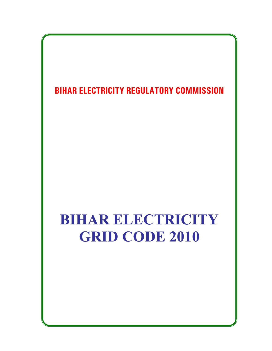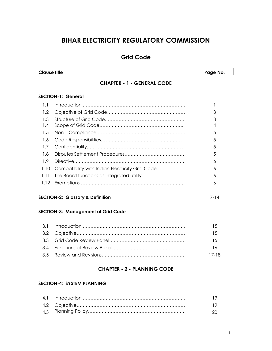# **BIHAR ELECTRICITY REGULATORY COMMISSION**

# **Grid Code**

**Clause Title** Page No. **Page No. 2016** 

# **CHAPTER - 1 - GENERAL CODE**

## **SECTION-1: General**

| 1.1              |                                                 |    |
|------------------|-------------------------------------------------|----|
| 1.2              |                                                 | 3  |
| 1.3              |                                                 | 3  |
| 1.4              |                                                 | 4  |
| 1.5              |                                                 | .5 |
| $\overline{1.6}$ |                                                 | 5  |
| 1.7              |                                                 | 5  |
| 1.8              |                                                 | .5 |
| 1.9              |                                                 | 6  |
| 1.10             | Compatibility with Indian Electricity Grid Code | 6  |
|                  |                                                 | 6  |
|                  |                                                 | 6  |
|                  |                                                 |    |

## **SECTION-2: Glossary & Definition** 7-14

## **SECTION-3: Management of Grid Code**

|  | 15    |
|--|-------|
|  | 15    |
|  | 1.5   |
|  | 16    |
|  | 17-18 |

# **CHAPTER - 2 - PLANNING CODE**

### **SECTION-4: SYSTEM PLANNING**

|  | -20- |
|--|------|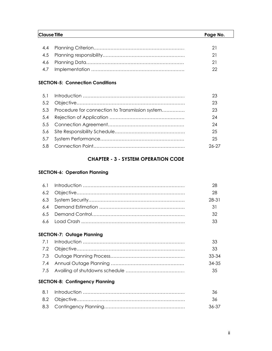| Clause Title |  | Page No. |
|--------------|--|----------|
|              |  |          |
| 4.4          |  | 21       |
|              |  | 21       |
| 4.6          |  | 21       |
| 4.7          |  |          |

## **SECTION-5: Connection Conditions**

|                                                     | 23      |
|-----------------------------------------------------|---------|
|                                                     | 23      |
| 5.3 Procedure for connection to Transmission system | 23      |
|                                                     | 24      |
|                                                     | 24      |
|                                                     | 25      |
|                                                     | 25      |
|                                                     | $26-27$ |
|                                                     |         |

# **CHAPTER - 3 - SYSTEM OPERATION CODE**

# **SECTION-6: Operation Planning**

| 6.1 |                                        | 28    |
|-----|----------------------------------------|-------|
| 6.2 |                                        | 28    |
| 6.3 |                                        | 28-31 |
| 6.4 |                                        | 31    |
| 6.5 |                                        | 32    |
| 6.6 |                                        | 33    |
|     | <b>SECTION-7: Outage Planning</b>      |       |
| 7.1 |                                        | 33    |
| 7.2 |                                        | 33    |
| 7.3 |                                        | 33-34 |
| 7.4 |                                        | 34-35 |
| 7.5 |                                        | 35    |
|     | <b>SECTION-8: Contingency Planning</b> |       |
| 8.1 |                                        | 36    |
| 8.2 |                                        | 36    |
| 8.3 |                                        | 36-37 |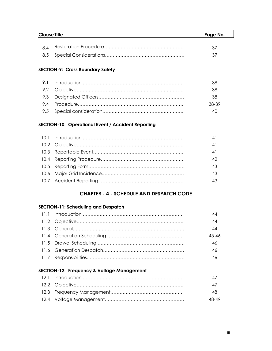| <b>Clause Title</b> |  | Page No. |
|---------------------|--|----------|
|                     |  | 37       |
|                     |  | 37       |

# **SECTION-9: Cross Boundary Safety**

|  | 38    |
|--|-------|
|  | .38   |
|  | 38-39 |
|  |       |

## **SECTION-10: Operational Event / Accident Reporting**

|  | 41 |
|--|----|
|  |    |
|  | 43 |
|  | 43 |
|  |    |

# **CHAPTER - 4 - SCHEDULE AND DESPATCH CODE**

## **SECTION-11: Scheduling and Despatch**

|  | 44        |
|--|-----------|
|  | 44        |
|  | 44        |
|  | $45 - 46$ |
|  | 46        |
|  | 46        |
|  | 46        |

## **SECTION-12: Frequency & Voltage Management**

|  | 47    |
|--|-------|
|  | -48   |
|  | 48-49 |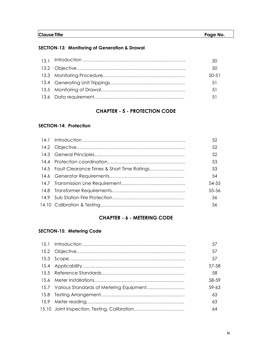| <b>Clause Title</b> | Page No. |
|---------------------|----------|
|                     |          |

# **SECTION-13: Monitoring of Generation & Drawal**

|  | 50      |
|--|---------|
|  | $50-51$ |
|  | .51     |
|  | 51      |
|  | $\sim$  |

# **CHAPTER - 5 - PROTECTION CODE**

### **SECTION-14: Protection**

|                                                 | 52        |
|-------------------------------------------------|-----------|
|                                                 | 52        |
|                                                 | 52        |
|                                                 | 53        |
| 14.5 Fault Clearance Times & Short Time Ratings | 53        |
|                                                 | 54        |
|                                                 | $54 - 55$ |
|                                                 | $55 - 56$ |
|                                                 | 56        |
|                                                 | 56        |
|                                                 |           |

# **CHAPTER - 6 - METERING CODE**

# **SECTION-15: Metering Code**

|                                              | 57        |
|----------------------------------------------|-----------|
|                                              | 57        |
|                                              | 57        |
|                                              | 57-58     |
|                                              | 58        |
|                                              | 58-59     |
| 15.7 Various Standards of Metering Equipment | $59 - 63$ |
|                                              | 63        |
|                                              | 63        |
|                                              | 64        |
|                                              |           |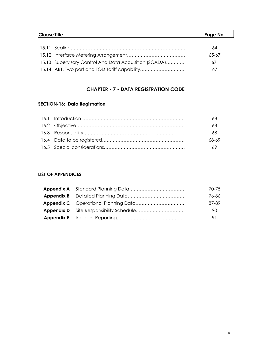| <b>Clause Title</b> |                                                        |       |
|---------------------|--------------------------------------------------------|-------|
|                     |                                                        |       |
|                     |                                                        | 64    |
|                     |                                                        | 65-67 |
|                     | 15.13 Supervisory Control And Data Acquisition (SCADA) | 67    |
|                     |                                                        | 67    |

# **CHAPTER - 7 - DATA REGISTRATION CODE**

# **SECTION-16: Data Registration**

|  | 68    |
|--|-------|
|  | 68    |
|  | 68-69 |
|  | -69   |

# **LIST OF APPENDICES**

|  | 70-75 |
|--|-------|
|  | 76-86 |
|  | 87-89 |
|  | 90    |
|  | 91    |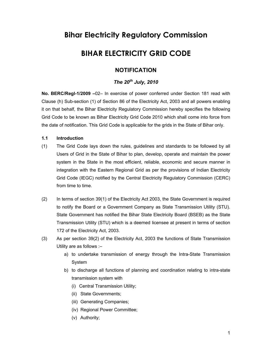# **Bihar Electricity Regulatory Commission**

# **BIHAR ELECTRICITY GRID CODE**

# **NOTIFICATION**

# *The 20th July, 2010*

**No. BERC/Regl-1/2009 –**02– In exercise of power conferred under Section 181 read with Clause (h) Sub-section (1) of Section 86 of the Electricity Act, 2003 and all powers enabling it on that behalf, the Bihar Electricity Regulatory Commission hereby specifies the following Grid Code to be known as Bihar Electricity Grid Code 2010 which shall come into force from the date of notification. This Grid Code is applicable for the grids in the State of Bihar only.

#### **1.1 Introduction**

- (1) The Grid Code lays down the rules, guidelines and standards to be followed by all Users of Grid in the State of Bihar to plan, develop, operate and maintain the power system in the State in the most efficient, reliable, economic and secure manner in integration with the Eastern Regional Grid as per the provisions of Indian Electricity Grid Code (IEGC) notified by the Central Electricity Regulatory Commission (CERC) from time to time.
- (2) In terms of section 39(1) of the Electricity Act 2003, the State Government is required to notify the Board or a Government Company as State Transmission Utility (STU). State Government has notified the Bihar State Electricity Board (BSEB) as the State Transmission Utility (STU) which is a deemed licensee at present in terms of section 172 of the Electricity Act, 2003.
- (3) As per section 39(2) of the Electricity Act, 2003 the functions of State Transmission Utility are as follows :–
	- a) to undertake transmission of energy through the Intra-State Transmission System
	- b) to discharge all functions of planning and coordination relating to intra-state transmission system with
		- (i) Central Transmission Utility;
		- (ii) State Governments;
		- (iii) Generating Companies;
		- (iv) Regional Power Committee;
		- (v) Authority;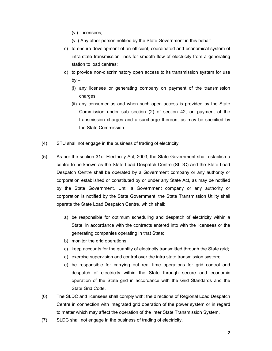- (vi) Licensees;
- (vii)Any other person notified by the State Government in this behalf
- c) to ensure development of an efficient, coordinated and economical system of intra-state transmission lines for smooth flow of electricity from a generating station to load centres;
- d) to provide non-discriminatory open access to its transmission system for use  $by -$ 
	- (i) any licensee or generating company on payment of the transmission charges;
	- (ii) any consumer as and when such open access is provided by the State Commission under sub section (2) of section 42, on payment of the transmission charges and a surcharge thereon, as may be specified by the State Commission.
- (4) STU shall not engage in the business of trading of electricity.
- (5) As per the section 31of Electricity Act, 2003, the State Government shall establish a centre to be known as the State Load Despatch Centre (SLDC) and the State Load Despatch Centre shall be operated by a Government company or any authority or corporation established or constituted by or under any State Act, as may be notified by the State Government. Until a Government company or any authority or corporation is notified by the State Government, the State Transmission Utility shall operate the State Load Despatch Centre, which shall:
	- a) be responsible for optimum scheduling and despatch of electricity within a State, in accordance with the contracts entered into with the licensees or the generating companies operating in that State;
	- b) monitor the grid operations;
	- c) keep accounts for the quantity of electricity transmitted through the State grid;
	- d) exercise supervision and control over the intra state transmission system;
	- e) be responsible for carrying out real time operations for grid control and despatch of electricity within the State through secure and economic operation of the State grid in accordance with the Grid Standards and the State Grid Code.
- (6) The SLDC and licensees shall comply with; the directions of Regional Load Despatch Centre in connection with integrated grid operation of the power system or in regard to matter which may affect the operation of the Inter State Transmission System.
- (7) SLDC shall not engage in the business of trading of electricity.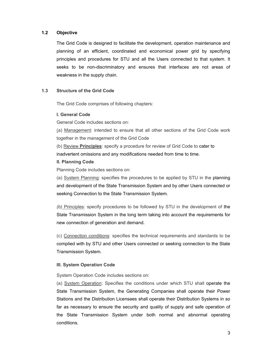#### **1.2 Objective**

The Grid Code is designed to facilitate the development, operation maintenance and planning of an efficient, coordinated and economical power grid by specifying principles and procedures for STU and all the Users connected to that system. It seeks to be non-discriminatory and ensures that interfaces are not areas of weakness in the supply chain.

#### **1.3 Structure of the Grid Code**

The Grid Code comprises of following chapters:

#### **I. General Code**

General Code includes sections on:

(a) Management: intended to ensure that all other sections of the Grid Code work together in the management of the Grid Code

(b) Review **Principles**: specify a procedure for review of Grid Code to cater to inadvertent omissions and any modifications needed from time to time.

#### **II. Planning Code**

Planning Code includes sections on:

(a) System Planning: specifies the procedures to be applied by STU in the planning and development of the State Transmission System and by other Users connected or seeking Connection to the State Transmission System.

*(b)* Principles: specify procedures to be followed by STU in the development of the State Transmission System in the long term taking into account the requirements for new connection of generation and demand.

(c) Connection conditions: specifies the technical requirements and standards to be complied with by STU and other Users connected or seeking connection to the State Transmission System.

#### **III. System Operation Code**

System Operation Code includes sections on:

(a) System Operation: Specifies the conditions under which STU shall operate the State Transmission System, the Generating Companies shall operate their Power Stations and the Distribution Licensees shall operate their Distribution Systems in so far as necessary to ensure the security and quality of supply and safe operation of the State Transmission System under both normal and abnormal operating conditions.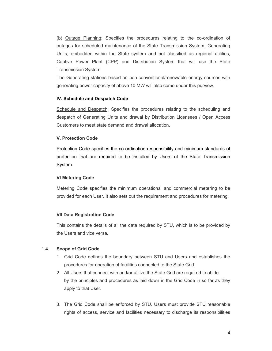(b) Outage Planning: Specifies the procedures relating to the co-ordination of outages for scheduled maintenance of the State Transmission System, Generating Units, embedded within the State system and not classified as regional utilities, Captive Power Plant (CPP) and Distribution System that will use the State Transmission System.

The Generating stations based on non-conventional/renewable energy sources with generating power capacity of above 10 MW will also come under this purview.

#### **IV. Schedule and Despatch Code**

Schedule and Despatch: Specifies the procedures relating to the scheduling and despatch of Generating Units and drawal by Distribution Licensees / Open Access Customers to meet state demand and drawal allocation.

#### **V. Protection Code**

Protection Code specifies the co-ordination responsibility and minimum standards of protection that are required to be installed by Users of the State Transmission System.

#### **VI Metering Code**

Metering Code specifies the minimum operational and commercial metering to be provided for each User. It also sets out the requirement and procedures for metering.

#### **VII Data Registration Code**

This contains the details of all the data required by STU, which is to be provided by the Users and vice versa.

#### **1.4 Scope of Grid Code**

- 1. Grid Code defines the boundary between STU and Users and establishes the procedures for operation of facilities connected to the State Grid.
- 2. All Users that connect with and/or utilize the State Grid are required to abide by the principles and procedures as laid down in the Grid Code in so far as they apply to that User.
- 3. The Grid Code shall be enforced by STU. Users must provide STU reasonable rights of access, service and facilities necessary to discharge its responsibilities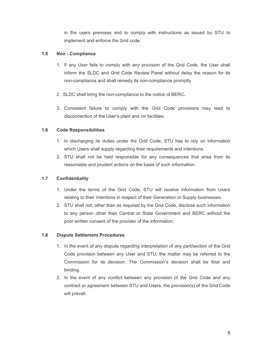in the users premises and to comply with instructions as issued by STU to implement and enforce the Grid code.

### **1.5 Non - Compliance**

- 1. If any User fails to comply with any provision of the Grid Code, the User shall inform the SLDC and Grid Code Review Panel without delay the reason for its non-compliance and shall remedy its non-compliance promptly.
- 2. SLDC shall bring the non-compliance to the notice of BERC**.**
- 3. Consistent failure to comply with the Grid Code provisions may lead to disconnection of the User's plant and /or facilities.

## **1.6 Code Responsibilities**

- 1. In discharging its duties under the Grid Code, STU has to rely on information which Users shall supply regarding their requirements and intentions.
- 2. STU shall not be held responsible for any consequences that arise from its reasonable and prudent actions on the basis of such information.

## **1.7 Confidentiality**

- 1. Under the terms of the Grid Code, STU will receive information from Users relating to their intentions in respect of their Generation or Supply businesses.
- 2. STU shall not, other than as required by the Grid Code, disclose such information to any person other than Central or State Government and BERC without the prior written consent of the provider of the information.

## **1.8 Dispute Settlement Procedures**

- 1. In the event of any dispute regarding interpretation of any part/section of the Grid Code provision between any User and STU, the matter may be referred to the Commission for its decision. The Commission's decision shall be final and binding.
- 2. In the event of any conflict between any provision of the Grid Code and any contract or agreement between STU and Users, the provision(s) of the Grid Code will prevail.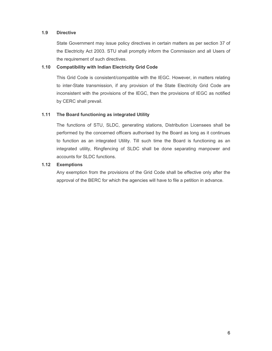### **1.9 Directive**

State Government may issue policy directives in certain matters as per section 37 of the Electricity Act 2003. STU shall promptly inform the Commission and all Users of the requirement of such directives.

### **1.10 Compatibility with Indian Electricity Grid Code**

This Grid Code is consistent/compatible with the IEGC. However, in matters relating to inter-State transmission, if any provision of the State Electricity Grid Code are inconsistent with the provisions of the IEGC, then the provisions of IEGC as notified by CERC shall prevail.

### **1.11 The Board functioning as integrated Utility**

The functions of STU, SLDC, generating stations, Distribution Licensees shall be performed by the concerned officers authorised by the Board as long as it continues to function as an integrated Utility. Till such time the Board is functioning as an integrated utility, Ringfencing of SLDC shall be done separating manpower and accounts for SLDC functions.

### **1.12 Exemptions**

Any exemption from the provisions of the Grid Code shall be effective only after the approval of the BERC for which the agencies will have to file a petition in advance.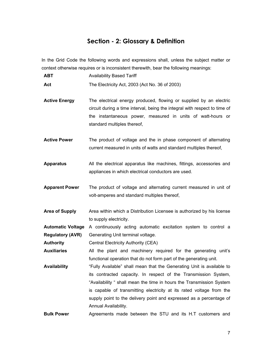# **Section - 2: Glossary & Definition**

In the Grid Code the following words and expressions shall, unless the subject matter or context otherwise requires or is inconsistent therewith, bear the following meanings:

| <b>ABT</b><br><b>Availability Based Tariff</b> |
|------------------------------------------------|
|------------------------------------------------|

Act The Electricity Act, 2003 (Act No. 36 of 2003)

- **Active Energy** The electrical energy produced, flowing or supplied by an electric circuit during a time interval, being the integral with respect to time of the instantaneous power, measured in units of watt-hours or standard multiples thereof,
- **Active Power** The product of voltage and the in phase component of alternating current measured in units of watts and standard multiples thereof,
- **Apparatus** All the electrical apparatus like machines, fittings, accessories and appliances in which electrical conductors are used.
- **Apparent Power** The product of voltage and alternating current measured in unit of volt-amperes and standard multiples thereof,
- **Area of Supply** Area within which a Distribution Licensee is authorized by his license to supply electricity.

**Automatic Voltage**  A continuously acting automatic excitation system to control a **Regulatory (AVR)**  Generating Unit terminal voltage.

**Authority** Central Electricity Authority (CEA)

**Auxiliaries** All the plant and machinery required for the generating unit's functional operation that do not form part of the generating unit.

**Availability**  "Fully Available" shall mean that the Generating Unit is available to its contracted capacity. In respect of the Transmission System, "Availability " shall mean the time in hours the Transmission System is capable of transmitting electricity at its rated voltage from the supply point to the delivery point and expressed as a percentage of Annual Availability.

**Bulk Power**  Agreements made between the STU and its H.T customers and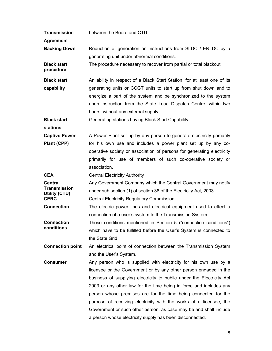**Agreement Backing Down Reduction of generation on instructions from SLDC / ERLDC by a** generating unit under abnormal conditions. **Black start procedure**  The procedure necessary to recover from partial or total blackout. **Black start capability**  An ability in respect of a Black Start Station, for at least one of its generating units or CCGT units to start up from shut down and to energize a part of the system and be synchronized to the system upon instruction from the State Load Dispatch Centre, within two hours, without any external supply. **Black start stations**  Generating stations having Black Start Capability. **Captive Power Plant (CPP)**  A Power Plant set up by any person to generate electricity primarily for his own use and includes a power plant set up by any cooperative society or association of persons for generating electricity primarily for use of members of such co-operative society or association. **CEA Central Electricity Authority Central Transmission Utility (CTU)**  Any Government Company which the Central Government may notify under sub section (1) of section 38 of the Electricity Act, 2003. **CERC CERC Central Electricity Regulatory Commission. Connection** The electric power lines and electrical equipment used to effect a connection of a user's system to the Transmission System. **Connection conditions**  Those conditions mentioned in Section 5 ("connection conditions") which have to be fulfilled before the User's System is connected to the State Grid **Connection point** An electrical point of connection between the Transmission System and the User's System. **Consumer Any person who is supplied with electricity for his own use by a** licensee or the Government or by any other person engaged in the business of supplying electricity to public under the Electricity Act 2003 or any other law for the time being in force and includes any person whose premises are for the time being connected for the purpose of receiving electricity with the works of a licensee, the Government or such other person, as case may be and shall include a person whose electricity supply has been disconnected.

between the Board and CTU.

**Transmission**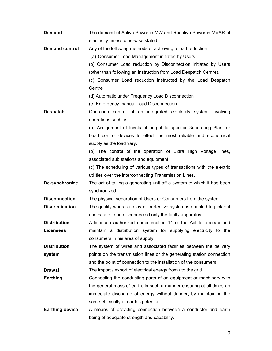| <b>Demand</b>          | The demand of Active Power in MW and Reactive Power in MVAR of        |
|------------------------|-----------------------------------------------------------------------|
|                        | electricity unless otherwise stated.                                  |
| <b>Demand control</b>  | Any of the following methods of achieving a load reduction:           |
|                        | (a) Consumer Load Management initiated by Users.                      |
|                        | (b) Consumer Load reduction by Disconnection initiated by Users       |
|                        | (other than following an instruction from Load Despatch Centre).      |
|                        | (c) Consumer Load reduction instructed by the Load Despatch           |
|                        | Centre                                                                |
|                        | (d) Automatic under Frequency Load Disconnection                      |
|                        | (e) Emergency manual Load Disconnection                               |
| <b>Despatch</b>        | Operation control of an integrated electricity system involving       |
|                        | operations such as:                                                   |
|                        | (a) Assignment of levels of output to specific Generating Plant or    |
|                        | Load control devices to effect the most reliable and economical       |
|                        | supply as the load vary.                                              |
|                        | (b) The control of the operation of Extra High Voltage lines,         |
|                        | associated sub stations and equipment.                                |
|                        | (c) The scheduling of various types of transactions with the electric |
|                        | utilities over the interconnecting Transmission Lines.                |
| De-synchronize         | The act of taking a generating unit off a system to which it has been |
|                        | synchronized.                                                         |
| <b>Disconnection</b>   | The physical separation of Users or Consumers from the system.        |
| <b>Discrimination</b>  | The quality where a relay or protective system is enabled to pick out |
|                        | and cause to be disconnected only the faulty apparatus.               |
| <b>Distribution</b>    | A licensee authorized under section 14 of the Act to operate and      |
| <b>Licensees</b>       | maintain a distribution system for supplying electricity to the       |
|                        | consumers in his area of supply.                                      |
| <b>Distribution</b>    | The system of wires and associated facilities between the delivery    |
| system                 | points on the transmission lines or the generating station connection |
|                        | and the point of connection to the installation of the consumers.     |
| <b>Drawal</b>          | The import / export of electrical energy from / to the grid           |
| <b>Earthing</b>        | Connecting the conducting parts of an equipment or machinery with     |
|                        | the general mass of earth, in such a manner ensuring at all times an  |
|                        | immediate discharge of energy without danger, by maintaining the      |
|                        | same efficiently at earth's potential.                                |
| <b>Earthing device</b> | A means of providing connection between a conductor and earth         |
|                        | being of adequate strength and capability.                            |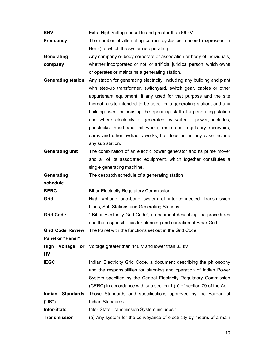**EHV** Extra High Voltage equal to and greater than 66 kV

**Frequency** The number of alternating current cycles per second (expressed in Hertz) at which the system is operating.

**Generating company**  Any company or body corporate or association or body of individuals, whether incorporated or not, or artificial juridical person, which owns or operates or maintains a generating station.

- **Generating station** Any station for generating electricity, including any building and plant with step-up transformer, switchyard, switch gear, cables or other appurtenant equipment, if any used for that purpose and the site thereof, a site intended to be used for a generating station, and any building used for housing the operating staff of a generating station and where electricity is generated by water – power, includes, penstocks, head and tail works, main and regulatory reservoirs, dams and other hydraulic works, but does not in any case include any sub station.
- **Generating unit** The combination of an electric power generator and its prime mover and all of its associated equipment, which together constitutes a single generating machine.

**Generating**  The despatch schedule of a generating station

**schedule** 

**BERC Bihar Electricity Regulatory Commission** 

**Grid High Voltage backbone system of inter-connected Transmission** Lines, Sub Stations and Generating Stations.

**Grid Code** " Bihar Electricity Grid Code", a document describing the procedures and the responsibilities for planning and operation of Bihar Grid.

**Grid Code Review**  The Panel with the functions set out in the Grid Code.

**Panel or "Panel"** 

High Voltage or Voltage greater than 440 V and lower than 33 kV.

**HV** 

**IEGC Indian Electricity Grid Code, a document describing the philosophy** and the responsibilities for planning and operation of Indian Power System specified by the Central Electricity Regulatory Commission (CERC) in accordance with sub section 1 (h) of section 79 of the Act.

**Indian Standards** Those Standards and specifications approved by the Bureau of **("IS")**  Indian Standards.

**Inter-State**  Inter-State Transmission System includes :

**Transmission**  (a) Any system for the conveyance of electricity by means of a main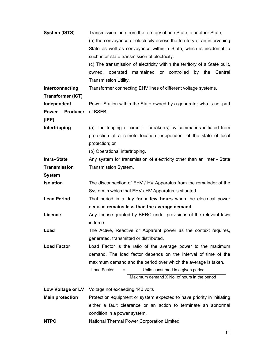| System (ISTS)                   | Transmission Line from the territory of one State to another State;        |  |  |
|---------------------------------|----------------------------------------------------------------------------|--|--|
|                                 | (b) the conveyance of electricity across the territory of an intervening   |  |  |
|                                 | State as well as conveyance within a State, which is incidental to         |  |  |
|                                 | such inter-state transmission of electricity.                              |  |  |
|                                 | (c) The transmission of electricity within the territory of a State built, |  |  |
|                                 | owned, operated maintained or controlled<br>by the<br>Central              |  |  |
|                                 | Transmission Utility.                                                      |  |  |
| Interconnecting                 | Transformer connecting EHV lines of different voltage systems.             |  |  |
| <b>Transformer (ICT)</b>        |                                                                            |  |  |
| Independent                     | Power Station within the State owned by a generator who is not part        |  |  |
| <b>Producer</b><br><b>Power</b> | of BSEB.                                                                   |  |  |
| (IPP)                           |                                                                            |  |  |
| Intertripping                   | (a) The tripping of circuit – breaker(s) by commands initiated from        |  |  |
|                                 | protection at a remote location independent of the state of local          |  |  |
|                                 | protection; or                                                             |  |  |
|                                 | (b) Operational intertripping.                                             |  |  |
| Intra-State                     | Any system for transmission of electricity other than an Inter - State     |  |  |
| <b>Transmission</b>             | Transmission System.                                                       |  |  |
| <b>System</b>                   |                                                                            |  |  |
| <b>Isolation</b>                | The disconnection of EHV / HV Apparatus from the remainder of the          |  |  |
|                                 | System in which that EHV / HV Apparatus is situated.                       |  |  |
| <b>Lean Period</b>              | That period in a day for a few hours when the electrical power             |  |  |
|                                 | demand remains less than the average demand.                               |  |  |
| Licence                         | Any license granted by BERC under provisions of the relevant laws          |  |  |
|                                 | in force                                                                   |  |  |
| Load                            | The Active, Reactive or Apparent power as the context requires,            |  |  |
|                                 | generated, transmitted or distributed.                                     |  |  |
| <b>Load Factor</b>              | Load Factor is the ratio of the average power to the maximum               |  |  |
|                                 | demand. The load factor depends on the interval of time of the             |  |  |
|                                 | maximum demand and the period over which the average is taken.             |  |  |
|                                 | Load Factor<br>Units consumed in a given period                            |  |  |
|                                 | Maximum demand X No. of hours in the period                                |  |  |
| Low Voltage or LV               | Voltage not exceeding 440 volts                                            |  |  |
| <b>Main protection</b>          | Protection equipment or system expected to have priority in initiating     |  |  |
|                                 | either a fault clearance or an action to terminate an abnormal             |  |  |
|                                 | condition in a power system.                                               |  |  |
|                                 |                                                                            |  |  |

**NTPC** National Thermal Power Corporation Limited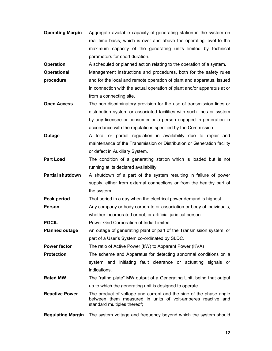**Operating Margin** Aggregate available capacity of generating station in the system on real time basis, which is over and above the operating level to the maximum capacity of the generating units limited by technical parameters for short duration.

**Operation A** scheduled or planned action relating to the operation of a system.

- **Operational procedure**  Management instructions and procedures, both for the safety rules and for the local and remote operation of plant and apparatus, issued in connection with the actual operation of plant and/or apparatus at or from a connecting site.
- **Open Access** The non-discriminatory provision for the use of transmission lines or distribution system or associated facilities with such lines or system by any licensee or consumer or a person engaged in generation in accordance with the regulations specified by the Commission.
- **Outage A** total or partial regulation in availability due to repair and maintenance of the Transmission or Distribution or Generation facility or defect in Auxiliary System.
- **Part Load** The condition of a generating station which is loaded but is not running at its declared availability.
- **Partial shutdown** A shutdown of a part of the system resulting in failure of power supply, either from external connections or from the healthy part of the system.

**Peak period** That period in a day when the electrical power demand is highest.

**Person Any company or body corporate or association or body of individuals,** whether incorporated or not, or artificial juridical person.

**PGCIL** Power Grid Corporation of India Limited

**Planned outage** An outage of generating plant or part of the Transmission system, or part of a User's System co-ordinated by SLDC.

**Power factor** The ratio of Active Power (kW) to Apparent Power (KVA)

**Protection The scheme and Apparatus for detecting abnormal conditions on a** system and initiating fault clearance or actuating signals or indications.

- **Rated MW** The "rating plate" MW output of a Generating Unit, being that output up to which the generating unit is designed to operate.
- **Reactive Power** The product of voltage and current and the sine of the phase angle between them measured in units of volt-amperes reactive and standard multiples thereof;
- **Regulating Margin** The system voltage and frequency beyond which the system should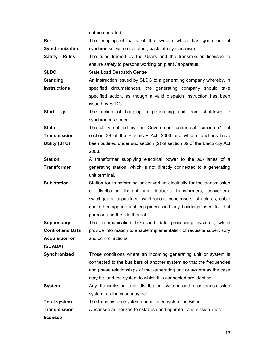not be operated.

**Re-Synchronization**  The bringing of parts of the system which has gone out of synchronism with each other, back into synchronism.

**Safety – Rules** The rules framed by the Users and the transmission licensee to ensure safety to persons working on plant / apparatus.

**SLDC** State Load Despatch Centre

**Standing Instructions**  An instruction issued by SLDC to a generating company whereby, in specified circumstances, the generating company should take specified action, as though a valid dispatch instruction has been issued by SLDC.

**Start – Up** The action of bringing a generating unit from shutdown to synchronous speed.

**State Transmission Utility (STU)**  The utility notified by the Government under sub section (1) of section 39 of the Electricity Act, 2003 and whose functions have been outlined under sub section (2) of section 39 of the Electricity Act 2003.

**Station Transformer**  A transformer supplying electrical power to the auxiliaries of a generating station, which is not directly connected to a generating unit terminal.

**Sub station** Station for transforming or converting electricity for the transmission or distribution thereof and includes transformers, converters, switchgears, capacitors, synchronous condensers, structures, cable and other appurtenant equipment and any buildings used for that purpose and the site thereof.

**Supervisory Control and Data Acquisition or**  The communication links and data processing systems, which provide information to enable implementation of requisite supervisory and control actions.

**(SCADA)** 

**Synchronized** Those conditions where an incoming generating unit or system is connected to the bus bars of another system so that the frequencies and phase relationships of that generating unit or system as the case may be, and the system to which it is connected are identical.

**System Any transmission and distribution system and / or transmission** system, as the case may be.

**Total system** The transmission system and all user systems in Bihar.

**Transmission**  A licensee authorized to establish and operate transmission lines

**licensee**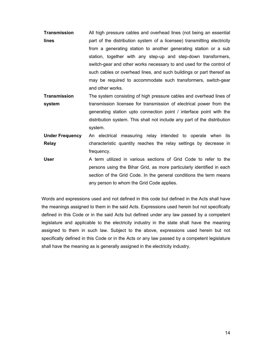- **Transmission lines**  All high pressure cables and overhead lines (not being an essential part of the distribution system of a licensee) transmitting electricity from a generating station to another generating station or a sub station, together with any step-up and step-down transformers, switch-gear and other works necessary to and used for the control of such cables or overhead lines, and such buildings or part thereof as may be required to accommodate such transformers, switch-gear and other works.
- **Transmission system**  The system consisting of high pressure cables and overhead lines of transmission licensee for transmission of electrical power from the generating station upto connection point / interface point with the distribution system. This shall not include any part of the distribution system.
- **Under Frequency Relay**  An electrical measuring relay intended to operate when its characteristic quantity reaches the relay settings by decrease in frequency.
- **User** A term utilized in various sections of Grid Code to refer to the persons using the Bihar Grid, as more particularly identified in each section of the Grid Code. In the general conditions the term means any person to whom the Grid Code applies.

Words and expressions used and not defined in this code but defined in the Acts shall have the meanings assigned to them in the said Acts. Expressions used herein but not specifically defined in this Code or in the said Acts but defined under any law passed by a competent legislature and applicable to the electricity industry in the state shall have the meaning assigned to them in such law. Subject to the above, expressions used herein but not specifically defined in this Code or in the Acts or any law passed by a competent legislature shall have the meaning as is generally assigned in the electricity industry.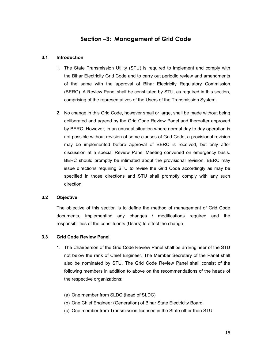# **Section –3: Management of Grid Code**

#### **3.1 Introduction**

- 1. The State Transmission Utility (STU) is required to implement and comply with the Bihar Electricity Grid Code and to carry out periodic review and amendments of the same with the approval of Bihar Electricity Regulatory Commission (BERC). A Review Panel shall be constituted by STU, as required in this section, comprising of the representatives of the Users of the Transmission System.
- 2. No change in this Grid Code, however small or large, shall be made without being deliberated and agreed by the Grid Code Review Panel and thereafter approved by BERC. However, in an unusual situation where normal day to day operation is not possible without revision of some clauses of Grid Code, a provisional revision may be implemented before approval of BERC is received, but only after discussion at a special Review Panel Meeting convened on emergency basis. BERC should promptly be intimated about the provisional revision. BERC may issue directions requiring STU to revise the Grid Code accordingly as may be specified in those directions and STU shall promptly comply with any such direction.

#### **3.2 Objective**

The objective of this section is to define the method of management of Grid Code documents, implementing any changes / modifications required and the responsibilities of the constituents (Users) to effect the change.

#### **3.3 Grid Code Review Panel**

- 1. The Chairperson of the Grid Code Review Panel shall be an Engineer of the STU not below the rank of Chief Engineer. The Member Secretary of the Panel shall also be nominated by STU. The Grid Code Review Panel shall consist of the following members in addition to above on the recommendations of the heads of the respective organizations:
	- (a) One member from SLDC (head of SLDC)
	- (b) One Chief Engineer (Generation) of Bihar State Electricity Board.
	- (c) One member from Transmission licensee in the State other than STU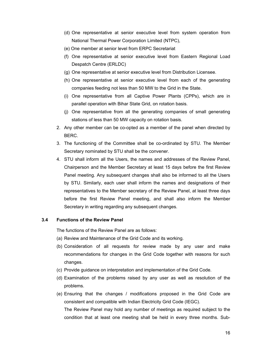- (d) One representative at senior executive level from system operation from National Thermal Power Corporation Limited (NTPC),
- (e) One member at senior level from ERPC Secretariat
- (f) One representative at senior executive level from Eastern Regional Load Despatch Centre (ERLDC)
- (g) One representative at senior executive level from Distribution Licensee.
- (h) One representative at senior executive level from each of the generating companies feeding not less than 50 MW to the Grid in the State.
- (i) One representative from all Captive Power Plants (CPPs), which are in parallel operation with Bihar State Grid, on rotation basis.
- (j) One representative from all the generating companies of small generating stations of less than 50 MW capacity on rotation basis.
- 2. Any other member can be co-opted as a member of the panel when directed by BERC.
- 3. The functioning of the Committee shall be co-ordinated by STU. The Member Secretary nominated by STU shall be the convener.
- 4. STU shall inform all the Users, the names and addresses of the Review Panel, Chairperson and the Member Secretary at least 15 days before the first Review Panel meeting. Any subsequent changes shall also be informed to all the Users by STU. Similarly, each user shall inform the names and designations of their representatives to the Member secretary of the Review Panel, at least three days before the first Review Panel meeting, and shall also inform the Member Secretary in writing regarding any subsequent changes.

#### **3.4 Functions of the Review Panel**

The functions of the Review Panel are as follows:

- (a) Review and Maintenance of the Grid Code and its working.
- (b) Consideration of all requests for review made by any user and make recommendations for changes in the Grid Code together with reasons for such changes.
- (c) Provide guidance on interpretation and implementation of the Grid Code.
- (d) Examination of the problems raised by any user as well as resolution of the problems.
- (e) Ensuring that the changes / modifications proposed in the Grid Code are consistent and compatible with Indian Electricity Grid Code (IEGC). The Review Panel may hold any number of meetings as required subject to the condition that at least one meeting shall be held in every three months. Sub-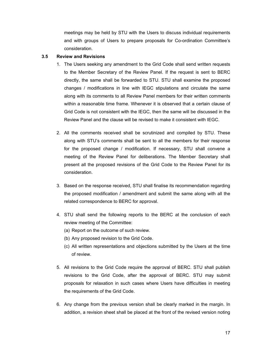meetings may be held by STU with the Users to discuss individual requirements and with groups of Users to prepare proposals for Co-ordination Committee's consideration.

### **3.5 Review and Revisions**

- 1. The Users seeking any amendment to the Grid Code shall send written requests to the Member Secretary of the Review Panel. If the request is sent to BERC directly, the same shall be forwarded to STU. STU shall examine the proposed changes / modifications in line with IEGC stipulations and circulate the same along with its comments to all Review Panel members for their written comments within a reasonable time frame. Whenever it is observed that a certain clause of Grid Code is not consistent with the IEGC, then the same will be discussed in the Review Panel and the clause will be revised to make it consistent with IEGC.
- 2. All the comments received shall be scrutinized and compiled by STU. These along with STU's comments shall be sent to all the members for their response for the proposed change / modification. If necessary, STU shall convene a meeting of the Review Panel for deliberations. The Member Secretary shall present all the proposed revisions of the Grid Code to the Review Panel for its consideration.
- 3. Based on the response received, STU shall finalise its recommendation regarding the proposed modification / amendment and submit the same along with all the related correspondence to BERC for approval.
- 4. STU shall send the following reports to the BERC at the conclusion of each review meeting of the Committee:
	- (a) Report on the outcome of such review.
	- (b) Any proposed revision to the Grid Code.
	- (c) All written representations and objections submitted by the Users at the time of review.
- 5. All revisions to the Grid Code require the approval of BERC. STU shall publish revisions to the Grid Code, after the approval of BERC. STU may submit proposals for relaxation in such cases where Users have difficulties in meeting the requirements of the Grid Code.
- 6. Any change from the previous version shall be clearly marked in the margin. In addition, a revision sheet shall be placed at the front of the revised version noting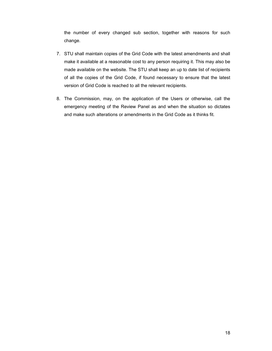the number of every changed sub section, together with reasons for such change.

- 7. STU shall maintain copies of the Grid Code with the latest amendments and shall make it available at a reasonable cost to any person requiring it. This may also be made available on the website. The STU shall keep an up to date list of recipients of all the copies of the Grid Code, if found necessary to ensure that the latest version of Grid Code is reached to all the relevant recipients.
- 8. The Commission, may, on the application of the Users or otherwise, call the emergency meeting of the Review Panel as and when the situation so dictates and make such alterations or amendments in the Grid Code as it thinks fit.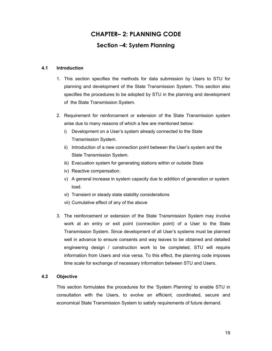# **CHAPTER– 2: PLANNING CODE Section –4: System Planning**

#### **4.1 Introduction**

- 1. This section specifies the methods for data submission by Users to STU for planning and development of the State Transmission System. This section also specifies the procedures to be adopted by STU in the planning and development of the State Transmission System.
- 2. Requirement for reinforcement or extension of the State Transmission system arise due to many reasons of which a few are mentioned below:
	- i) Development on a User's system already connected to the State Transmission System.
	- ii) Introduction of a new connection point between the User's system and the State Transmission System.
	- iii) Evacuation system for generating stations within or outside State
	- iv) Reactive compensation.
	- v) A general increase in system capacity due to addition of generation or system load.
	- vi) Transient or steady state stability considerations
	- vii) Cumulative effect of any of the above
- 3. The reinforcement or extension of the State Transmission System may involve work at an entry or exit point (connection point) of a User to the State Transmission System. Since development of all User's systems must be planned well in advance to ensure consents and way leaves to be obtained and detailed engineering design / construction work to be completed, STU will require information from Users and vice versa. To this effect, the planning code imposes time scale for exchange of necessary information between STU and Users.

#### **4.2 Objective**

This section formulates the procedures for the 'System Planning' to enable STU in consultation with the Users, to evolve an efficient, coordinated, secure and economical State Transmission System to satisfy requirements of future demand.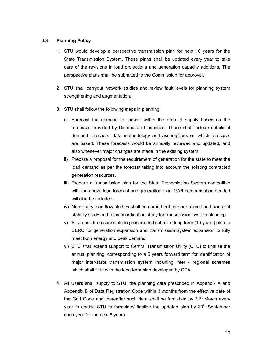#### **4.3 Planning Policy**

- 1. STU would develop a perspective transmission plan for next 10 years for the State Transmission System. These plans shall be updated every year to take care of the revisions in load projections and generation capacity additions. The perspective plans shall be submitted to the Commission for approval.
- 2. STU shall carryout network studies and review fault levels for planning system strengthening and augmentation.
- 3. STU shall follow the following steps in planning:
	- i) Forecast the demand for power within the area of supply based on the forecasts provided by Distribution Licensees. These shall include details of demand forecasts, data methodology and assumptions on which forecasts are based. These forecasts would be annually reviewed and updated, and also whenever major changes are made in the existing system.
	- ii) Prepare a proposal for the requirement of generation for the state to meet the load demand as per the forecast taking into account the existing contracted generation resources.
	- iii) Prepare a transmission plan for the State Transmission System compatible with the above load forecast and generation plan. VAR compensation needed will also be included.
	- iv) Necessary load flow studies shall be carried out for short circuit and transient stability study and relay coordination study for transmission system planning.
	- v) STU shall be responsible to prepare and submit a long term (10 years) plan to BERC for generation expansion and transmission system expansion to fully meet both energy and peak demand.
	- vi) STU shall extend support to Central Transmission Utility (CTU) to finalise the annual planning. corresponding to a 5 years forward term for identification of major inter-state transmission system including inter - regional schemes which shall fit in with the long term plan developed by CEA.
- 4. All Users shall supply to STU, the planning data prescribed in Appendix A and Appendix B of Data Registration Code within 3 months from the effective date of the Grid Code and thereafter such data shall be furnished by  $31<sup>st</sup>$  March every year to enable STU to formulate/ finalise the updated plan by 30<sup>th</sup> September each year for the next 5 years.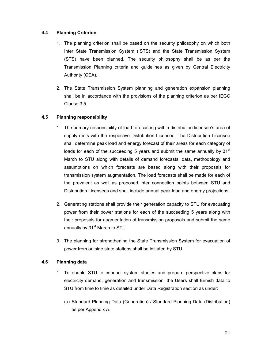### **4.4 Planning Criterion**

- 1. The planning criterion shall be based on the security philosophy on which both Inter State Transmission System (ISTS) and the State Transmission System (STS) have been planned. The security philosophy shall be as per the Transmission Planning criteria and guidelines as given by Central Electricity Authority (CEA).
- 2. The State Transmission System planning and generation expansion planning shall be in accordance with the provisions of the planning criterion as per IEGC Clause 3.5.

## **4.5 Planning responsibility**

- 1. The primary responsibility of load forecasting within distribution licensee's area of supply rests with the respective Distribution Licensee. The Distribution Licensee shall determine peak load and energy forecast of their areas for each category of loads for each of the succeeding 5 years and submit the same annually by  $31<sup>st</sup>$ March to STU along with details of demand forecasts, data, methodology and assumptions on which forecasts are based along with their proposals for transmission system augmentation. The load forecasts shall be made for each of the prevalent as well as proposed inter connection points between STU and Distribution Licensees and shall include annual peak load and energy projections.
- 2. Generating stations shall provide their generation capacity to STU for evacuating power from their power stations for each of the succeeding 5 years along with their proposals for augmentation of transmission proposals and submit the same annually by 31<sup>st</sup> March to STU.
- 3. The planning for strengthening the State Transmission System for evacuation of power from outside state stations shall be initiated by STU.

## **4.6 Planning data**

- 1. To enable STU to conduct system studies and prepare perspective plans for electricity demand, generation and transmission, the Users shall furnish data to STU from time to time as detailed under Data Registration section as under:
	- (a) Standard Planning Data (Generation) / Standard Planning Data (Distribution) as per Appendix A.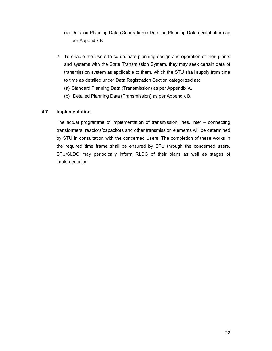- (b) Detailed Planning Data (Generation) / Detailed Planning Data (Distribution) as per Appendix B.
- 2. To enable the Users to co-ordinate planning design and operation of their plants and systems with the State Transmission System, they may seek certain data of transmission system as applicable to them, which the STU shall supply from time to time as detailed under Data Registration Section categorized as;
	- (a) Standard Planning Data (Transmission) as per Appendix A.
	- (b) Detailed Planning Data (Transmission) as per Appendix B.

### **4.7 Implementation**

The actual programme of implementation of transmission lines, inter – connecting transformers, reactors/capacitors and other transmission elements will be determined by STU in consultation with the concerned Users. The completion of these works in the required time frame shall be ensured by STU through the concerned users. STU/SLDC may periodically inform RLDC of their plans as well as stages of implementation.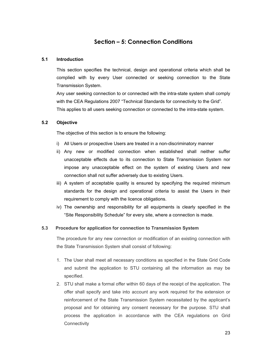# **Section – 5: Connection Conditions**

#### **5.1 Introduction**

This section specifies the technical, design and operational criteria which shall be complied with by every User connected or seeking connection to the State Transmission System.

Any user seeking connection to or connected with the intra-state system shall comply with the CEA Regulations 2007 "Technical Standards for connectivity to the Grid". This applies to all users seeking connection or connected to the intra-state system.

### **5.2 Objective**

The objective of this section is to ensure the following:

- i) All Users or prospective Users are treated in a non-discriminatory manner
- ii) Any new or modified connection when established shall neither suffer unacceptable effects due to its connection to State Transmission System nor impose any unacceptable effect on the system of existing Users and new connection shall not suffer adversely due to existing Users.
- iii) A system of acceptable quality is ensured by specifying the required minimum standards for the design and operational criteria to assist the Users in their requirement to comply with the licence obligations.
- iv) The ownership and responsibility for all equipments is clearly specified in the "Site Responsibility Schedule" for every site, where a connection is made.

## **5.3 Procedure for application for connection to Transmission System**

The procedure for any new connection or modification of an existing connection with the State Transmission System shall consist of following:

- 1. The User shall meet all necessary conditions as specified in the State Grid Code and submit the application to STU containing all the information as may be specified.
- 2. STU shall make a formal offer within 60 days of the receipt of the application. The offer shall specify and take into account any work required for the extension or reinforcement of the State Transmission System necessitated by the applicant's proposal and for obtaining any consent necessary for the purpose. STU shall process the application in accordance with the CEA regulations on Grid **Connectivity**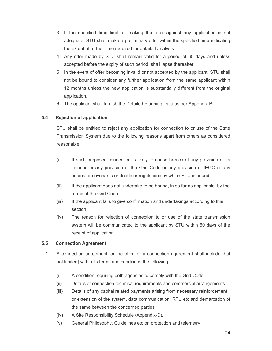- 3. If the specified time limit for making the offer against any application is not adequate, STU shall make a preliminary offer within the specified time indicating the extent of further time required for detailed analysis.
- 4. Any offer made by STU shall remain valid for a period of 60 days and unless accepted before the expiry of such period, shall lapse thereafter.
- 5. In the event of offer becoming invalid or not accepted by the applicant, STU shall not be bound to consider any further application from the same applicant within 12 months unless the new application is substantially different from the original application.
- 6. The applicant shall furnish the Detailed Planning Data as per Appendix-B.

### **5.4 Rejection of application**

STU shall be entitled to reject any application for connection to or use of the State Transmission System due to the following reasons apart from others as considered reasonable:

- (i) If such proposed connection is likely to cause breach of any provision of its Licence or any provision of the Grid Code or any provision of IEGC or any criteria or covenants or deeds or regulations by which STU is bound.
- (ii) If the applicant does not undertake to be bound, in so far as applicable, by the terms of the Grid Code.
- (iii) If the applicant fails to give confirmation and undertakings according to this section.
- (iv) The reason for rejection of connection to or use of the state transmission system will be communicated to the applicant by STU within 60 days of the receipt of application.

#### **5.5 Connection Agreement**

- 1. A connection agreement, or the offer for a connection agreement shall include (but not limited) within its terms and conditions the following:
	- (i) A condition requiring both agencies to comply with the Grid Code.
	- (ii) Details of connection technical requirements and commercial arrangements
	- (iii) Details of any capital related payments arising from necessary reinforcement or extension of the system, data communication, RTU etc and demarcation of the same between the concerned parties.
	- (iv) A Site Responsibility Schedule (Appendix-D).
	- (v) General Philosophy, Guidelines etc on protection and telemetry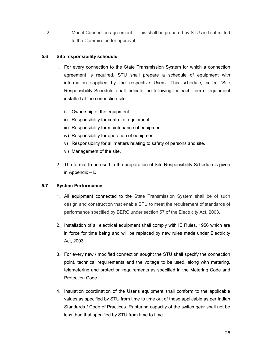2. Model Connection agreement :- This shall be prepared by STU and submitted to the Commission for approval.

## **5.6 Site responsibility schedule**

- 1. For every connection to the State Transmission System for which a connection agreement is required, STU shall prepare a schedule of equipment with information supplied by the respective Users. This schedule, called 'Site Responsibility Schedule' shall indicate the following for each item of equipment installed at the connection site.
	- i) Ownership of the equipment
	- ii) Responsibility for control of equipment
	- iii) Responsibility for maintenance of equipment
	- iv) Responsibility for operation of equipment
	- v) Responsibility for all matters relating to safety of persons and site.
	- vi) Management of the site.
- 2. The format to be used in the preparation of Site Responsibility Schedule is given in Appendix – D.

## **5.7 System Performance**

- 1. All equipment connected to the State Transmission System shall be of such design and construction that enable STU to meet the requirement of standards of performance specified by BERC under section 57 of the Electricity Act, 2003.
- 2. Installation of all electrical equipment shall comply with IE Rules, 1956 which are in force for time being and will be replaced by new rules made under Electricity Act, 2003.
- 3. For every new / modified connection sought the STU shall specify the connection point, technical requirements and the voltage to be used, along with metering, telemetering and protection requirements as specified in the Metering Code and Protection Code.
- 4. Insulation coordination of the User's equipment shall conform to the applicable values as specified by STU from time to time out of those applicable as per Indian Standards / Code of Practices. Rupturing capacity of the switch gear shall not be less than that specified by STU from time to time.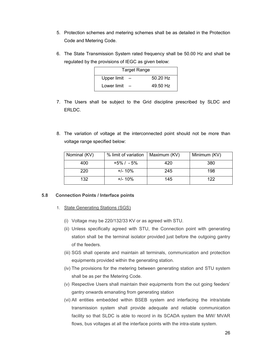- 5. Protection schemes and metering schemes shall be as detailed in the Protection Code and Metering Code.
- 6. The State Transmission System rated frequency shall be 50.00 Hz and shall be regulated by the provisions of IEGC as given below:

|             | <b>Target Range</b> |
|-------------|---------------------|
| Upper limit | $50.20$ Hz          |
| Lower limit | 49.50 Hz            |

- 7. The Users shall be subject to the Grid discipline prescribed by SLDC and ERLDC.
- 8. The variation of voltage at the interconnected point should not be more than voltage range specified below:

| Nominal (KV) | % limit of variation | Maximum (KV) | Minimum (KV) |
|--------------|----------------------|--------------|--------------|
| 400          | $+5\%$ / $-5\%$      | 420          | 380          |
| 220          | $+/- 10\%$           | 245          | 198          |
| 132          | $+/- 10\%$           | 145          | 122          |

#### **5.8 Connection Points / Interface points**

- 1. State Generating Stations (SGS)
	- (i) Voltage may be 220/132/33 KV or as agreed with STU.
	- (ii) Unless specifically agreed with STU, the Connection point with generating station shall be the terminal isolator provided just before the outgoing gantry of the feeders.
	- (iii) SGS shall operate and maintain all terminals, communication and protection equipments provided within the generating station.
	- (iv) The provisions for the metering between generating station and STU system shall be as per the Metering Code.
	- (v) Respective Users shall maintain their equipments from the out going feeders' gantry onwards emanating from generating station
	- (vi) All entities embedded within BSEB system and interfacing the intra/state transmission system shall provide adequate and reliable communication facility so that SLDC is able to record in its SCADA system the MW/ MVAR flows, bus voltages at all the interface points with the intra-state system.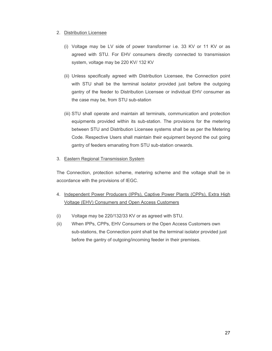#### 2. Distribution Licensee

- (i) Voltage may be LV side of power transformer i.e. 33 KV or 11 KV or as agreed with STU. For EHV consumers directly connected to transmission system, voltage may be 220 KV/ 132 KV
- (ii) Unless specifically agreed with Distribution Licensee, the Connection point with STU shall be the terminal isolator provided just before the outgoing gantry of the feeder to Distribution Licensee or individual EHV consumer as the case may be, from STU sub-station
- (iii) STU shall operate and maintain all terminals, communication and protection equipments provided within its sub-station. The provisions for the metering between STU and Distribution Licensee systems shall be as per the Metering Code. Respective Users shall maintain their equipment beyond the out going gantry of feeders emanating from STU sub-station onwards.
- 3. Eastern Regional Transmission System

The Connection, protection scheme, metering scheme and the voltage shall be in accordance with the provisions of IEGC.

- 4. Independent Power Producers (IPPs), Captive Power Plants (CPPs), Extra High Voltage (EHV) Consumers and Open Access Customers
- (i) Voltage may be 220/132/33 KV or as agreed with STU.
- (ii) When IPPs, CPPs, EHV Consumers or the Open Access Customers own sub-stations, the Connection point shall be the terminal isolator provided just before the gantry of outgoing/incoming feeder in their premises.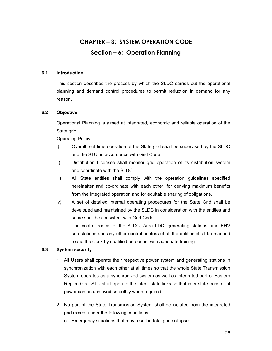# **CHAPTER – 3: SYSTEM OPERATION CODE Section – 6: Operation Planning**

## **6.1 Introduction**

This section describes the process by which the SLDC carries out the operational planning and demand control procedures to permit reduction in demand for any reason.

## **6.2 Objective**

Operational Planning is aimed at integrated, economic and reliable operation of the State grid.

Operating Policy:

- i) Overall real time operation of the State grid shall be supervised by the SLDC and the STU in accordance with Grid Code.
- ii) Distribution Licensee shall monitor grid operation of its distribution system and coordinate with the SLDC.
- iii) All State entities shall comply with the operation guidelines specified hereinafter and co-ordinate with each other, for deriving maximum benefits from the integrated operation and for equitable sharing of obligations.
- iv) A set of detailed internal operating procedures for the State Grid shall be developed and maintained by the SLDC in consideration with the entities and same shall be consistent with Grid Code.

 The control rooms of the SLDC, Area LDC, generating stations, and EHV sub-stations and any other control centers of all the entities shall be manned round the clock by qualified personnel with adequate training.

## **6.3 System security**

- 1. All Users shall operate their respective power system and generating stations in synchronization with each other at all times so that the whole State Transmission System operates as a synchronized system as well as integrated part of Eastern Region Gird. STU shall operate the inter - state links so that inter state transfer of power can be achieved smoothly when required.
- 2. No part of the State Transmission System shall be isolated from the integrated grid except under the following conditions;
	- i) Emergency situations that may result in total grid collapse.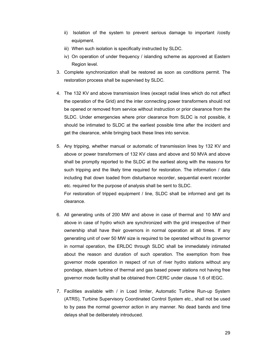- ii) Isolation of the system to prevent serious damage to important /costly equipment.
- iii) When such isolation is specifically instructed by SLDC.
- iv) On operation of under frequency / islanding scheme as approved at Eastern Region level.
- 3. Complete synchronization shall be restored as soon as conditions permit. The restoration process shall be supervised by SLDC.
- 4. The 132 KV and above transmission lines (except radial lines which do not affect the operation of the Grid) and the inter connecting power transformers should not be opened or removed from service without instruction or prior clearance from the SLDC. Under emergencies where prior clearance from SLDC is not possible, it should be intimated to SLDC at the earliest possible time after the incident and get the clearance, while bringing back these lines into service.
- 5. Any tripping, whether manual or automatic of transmission lines by 132 KV and above or power transformers of 132 KV class and above and 50 MVA and above shall be promptly reported to the SLDC at the earliest along with the reasons for such tripping and the likely time required for restoration. The information / data including that down loaded from disturbance recorder, sequential event recorder etc. required for the purpose of analysis shall be sent to SLDC. For restoration of tripped equipment / line, SLDC shall be informed and get its

clearance.

- 6. All generating units of 200 MW and above in case of thermal and 10 MW and above in case of hydro which are synchronized with the grid irrespective of their ownership shall have their governors in normal operation at all times. If any generating unit of over 50 MW size is required to be operated without its governor in normal operation, the ERLDC through SLDC shall be immediately intimated about the reason and duration of such operation. The exemption from free governor mode operation in respect of run of river hydro stations without any pondage, steam turbine of thermal and gas based power stations not having free governor mode facility shall be obtained from CERC under clause 1.6 of IEGC.
- 7. Facilities available with / in Load limiter, Automatic Turbine Run-up System (ATRS), Turbine Supervisory Coordinated Control System etc., shall not be used to by pass the normal governor action in any manner. No dead bands and time delays shall be deliberately introduced.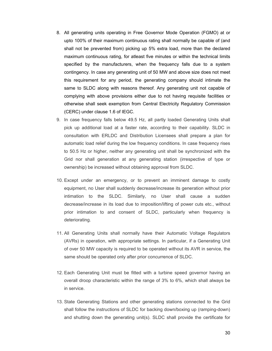- 8. All generating units operating in Free Governor Mode Operation (FGMO) at or upto 100% of their maximum continuous rating shall normally be capable of (and shall not be prevented from) picking up 5% extra load, more than the declared maximum continuous rating, for atleast five minutes or within the technical limits specified by the manufacturers, when the frequency falls due to a system contingency. In case any generating unit of 50 MW and above size does not meet this requirement for any period, the generating company should intimate the same to SLDC along with reasons thereof. Any generating unit not capable of complying with above provisions either due to not having requisite facilities or otherwise shall seek exemption from Central Electricity Regulatory Commission (CERC) under clause 1.6 of IEGC.
- 9. In case frequency falls below 49.5 Hz, all partly loaded Generating Units shall pick up additional load at a faster rate, according to their capability. SLDC in consultation with ERLDC and Distribution Licensees shall prepare a plan for automatic load relief during the low frequency conditions. In case frequency rises to 50.5 Hz or higher, neither any generating unit shall be synchronized with the Grid nor shall generation at any generating station (irrespective of type or ownership) be increased without obtaining approval from SLDC.
- 10. Except under an emergency, or to prevent an imminent damage to costly equipment, no User shall suddenly decrease/increase its generation without prior intimation to the SLDC. Similarly, no User shall cause a sudden decrease/increase in its load due to imposition/lifting of power cuts etc., without prior intimation to and consent of SLDC, particularly when frequency is deteriorating.
- 11. All Generating Units shall normally have their Automatic Voltage Regulators (AVRs) in operation, with appropriate settings. In particular, if a Generating Unit of over 50 MW capacity is required to be operated without its AVR in service, the same should be operated only after prior concurrence of SLDC.
- 12. Each Generating Unit must be fitted with a turbine speed governor having an overall droop characteristic within the range of 3% to 6%, which shall always be in service.
- 13. State Generating Stations and other generating stations connected to the Grid shall follow the instructions of SLDC for backing down/boxing up (ramping-down) and shutting down the generating unit(s). SLDC shall provide the certificate for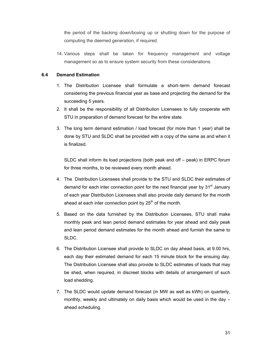the period of the backing down/boxing up or shutting down for the purpose of computing the deemed generation, if required.

14. Various steps shall be taken for frequency management and voltage management so as to ensure system security from these considerations.

# **6.4 Demand Estimation**

- 1. The Distribution Licensee shall formulate a short–term demand forecast considering the previous financial year as base and projecting the demand for the succeeding 5 years.
- 2. It shall be the responsibility of all Distribution Licensees to fully cooperate with STU in preparation of demand forecast for the entire state.
- 3. The long term demand estimation / load forecast (for more than 1 year) shall be done by STU and SLDC shall be provided with a copy of the same as and when it is finalized.

SLDC shall inform its load projections (both peak and off – peak) in ERPC forum for three months, to be reviewed every month ahead.

- 4. The Distribution Licensees shall provide to the STU and SLDC their estimates of demand for each inter connection point for the next financial year by 31<sup>st</sup> January of each year Distribution Licensees shall also provide daily demand for the month ahead at each inter connection point by  $25<sup>th</sup>$  of the month.
- 5. Based on the data furnished by the Distribution Licensees, STU shall make monthly peak and lean period demand estimates for year ahead and daily peak and lean period demand estimates for the month ahead and furnish the same to SLDC.
- 6. The Distribution Licensee shall provide to SLDC on day ahead basis, at 9.00 hrs, each day their estimated demand for each 15 minute block for the ensuing day. The Distribution Licensee shall also provide to SLDC estimates of loads that may be shed, when required, in discreet blocks with details of arrangement of such load shedding.
- 7. The SLDC would update demand forecast (in MW as well as kWh) on quarterly, monthly, weekly and ultimately on daily basis which would be used in the day – ahead scheduling.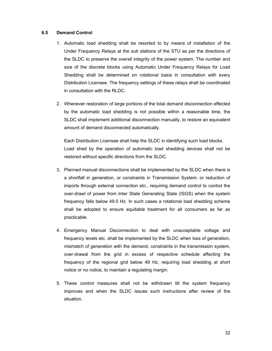#### **6.5 Demand Control**

- 1. Automatic load shedding shall be resorted to by means of installation of the Under Frequency Relays at the sub stations of the STU as per the directions of the SLDC to preserve the overall integrity of the power system. The number and size of the discrete blocks using Automatic Under Frequency Relays for Load Shedding shall be determined on rotational basis in consultation with every Distribution Licensee. The frequency settings of these relays shall be coordinated in consultation with the RLDC.
- 2. Whenever restoration of large portions of the total demand disconnection effected by the automatic load shedding is not possible within a reasonable time, the SLDC shall implement additional disconnection manually, to restore an equivalent amount of demand disconnected automatically.

Each Distribution Licensee shall help the SLDC in identifying such load blocks. Load shed by the operation of automatic load shedding devices shall not be restored without specific directions from the SLDC.

- 3. Planned manual disconnections shall be implemented by the SLDC when there is a shortfall in generation, or constraints in Transmission System, or reduction of imports through external connection etc., requiring demand control to control the over-drawl of power from Inter State Generating State (ISGS) when the system frequency falls below 49.5 Hz. In such cases a rotational load shedding scheme shall be adopted to ensure equitable treatment for all consumers as far as practicable.
- 4. Emergency Manual Disconnection to deal with unacceptable voltage and frequency levels etc. shall be implemented by the SLDC when loss of generation, mismatch of generation with the demand, constraints in the transmission system, over-drawal from the grid in excess of respective schedule affecting the frequency of the regional grid below 49 Hz, requiring load shedding at short notice or no notice, to maintain a regulating margin.
- 5. These control measures shall not be withdrawn till the system frequency improves and when the SLDC issues such instructions after review of the situation.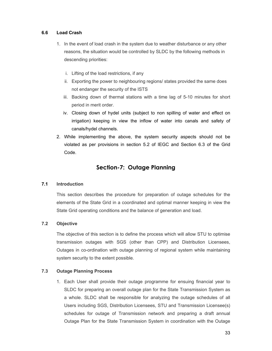# **6.6 Load Crash**

- 1. In the event of load crash in the system due to weather disturbance or any other reasons, the situation would be controlled by SLDC by the following methods in descending priorities:
	- i. Lifting of the load restrictions, if any
	- ii. Exporting the power to neighbouring regions/ states provided the same does not endanger the security of the ISTS
	- iii. Backing down of thermal stations with a time lag of 5-10 minutes for short period in merit order.
	- iv. Closing down of hydel units (subject to non spilling of water and effect on irrigation) keeping in view the inflow of water into canals and safety of canals/hydel channels.
- 2. While implementing the above, the system security aspects should not be violated as per provisions in section 5.2 of IEGC and Section 6.3 of the Grid Code.

# **Section-7: Outage Planning**

# **7.1 Introduction**

This section describes the procedure for preparation of outage schedules for the elements of the State Grid in a coordinated and optimal manner keeping in view the State Grid operating conditions and the balance of generation and load.

# **7.2 Objective**

The objective of this section is to define the process which will allow STU to optimise transmission outages with SGS (other than CPP) and Distribution Licensees, Outages in co-ordination with outage planning of regional system while maintaining system security to the extent possible.

### **7.3 Outage Planning Process**

1. Each User shall provide their outage programme for ensuing financial year to SLDC for preparing an overall outage plan for the State Transmission System as a whole. SLDC shall be responsible for analyzing the outage schedules of all Users including SGS, Distribution Licensees, STU and Transmission Licensee(s) schedules for outage of Transmission network and preparing a draft annual Outage Plan for the State Transmission System in coordination with the Outage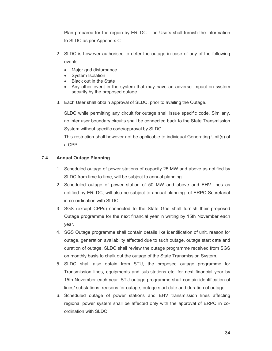Plan prepared for the region by ERLDC. The Users shall furnish the information to SLDC as per Appendix-C.

- 2. SLDC is however authorised to defer the outage in case of any of the following events:
	- Major grid disturbance
	- System Isolation
	- Black out in the State
	- Any other event in the system that may have an adverse impact on system security by the proposed outage
- 3. Each User shall obtain approval of SLDC, prior to availing the Outage.

SLDC while permitting any circuit for outage shall issue specific code. Similarly, no inter user boundary circuits shall be connected back to the State Transmission System without specific code/approval by SLDC.

This restriction shall however not be applicable to individual Generating Unit(s) of a CPP.

# **7.4 Annual Outage Planning**

- 1. Scheduled outage of power stations of capacity 25 MW and above as notified by SLDC from time to time, will be subject to annual planning.
- 2. Scheduled outage of power station of 50 MW and above and EHV lines as notified by ERLDC, will also be subject to annual planning of ERPC Secretariat in co-ordination with SLDC.
- 3. SGS (except CPPs) connected to the State Grid shall furnish their proposed Outage programme for the next financial year in writing by 15th November each year.
- 4. SGS Outage programme shall contain details like identification of unit, reason for outage, generation availability affected due to such outage, outage start date and duration of outage. SLDC shall review the outage programme received from SGS on monthly basis to chalk out the outage of the State Transmission System.
- 5. SLDC shall also obtain from STU, the proposed outage programme for Transmission lines, equipments and sub-stations etc. for next financial year by 15th November each year. STU outage programme shall contain identification of lines/ substations, reasons for outage, outage start date and duration of outage.
- 6. Scheduled outage of power stations and EHV transmission lines affecting regional power system shall be affected only with the approval of ERPC in coordination with SLDC.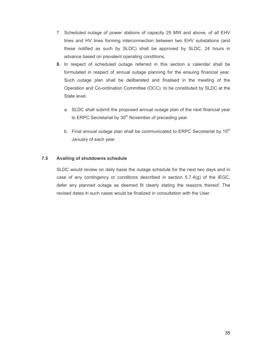- 7. Scheduled outage of power stations of capacity 25 MW and above, of all EHV lines and HV lines forming interconnection between two EHV substations (and these notified as such by SLDC) shall be approved by SLDC, 24 hours in advance based on prevalent operating conditions.
- **8.** In respect of scheduled outage referred in this section a calendar shall be formulated in respect of annual outage planning for the ensuing financial year. Such outage plan shall be deliberated and finalised in the meeting of the Operation and Co-ordination Committee (OCC). to be constituted by SLDC at the State level.
	- a. SLDC shall submit the proposed annual outage plan of the next financial year to ERPC Secretariat by  $30<sup>th</sup>$  November of preceding year.
	- b. Final annual outage plan shall be communicated to ERPC Secretariat by  $15<sup>th</sup>$ January of each year.

# **7.5 Availing of shutdowns schedule**

SLDC would review on daily basis the outage schedule for the next two days and in case of any contingency or conditions described in section 5.7.4(g) of the IEGC, defer any planned outage as deemed fit clearly stating the reasons thereof. The revised dates in such cases would be finalized in consultation with the User.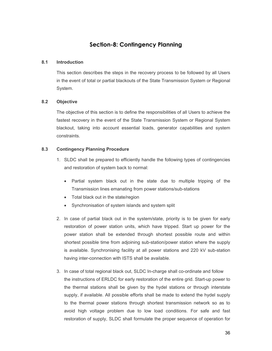# **Section-8: Contingency Planning**

### **8.1 Introduction**

This section describes the steps in the recovery process to be followed by all Users in the event of total or partial blackouts of the State Transmission System or Regional System.

#### **8.2 Objective**

The objective of this section is to define the responsibilities of all Users to achieve the fastest recovery in the event of the State Transmission System or Regional System blackout, taking into account essential loads, generator capabilities and system constraints.

#### **8.3 Contingency Planning Procedure**

- 1. SLDC shall be prepared to efficiently handle the following types of contingencies and restoration of system back to normal:
	- Partial system black out in the state due to multiple tripping of the Transmission lines emanating from power stations/sub-stations
	- Total black out in the state/region
	- Synchronisation of system islands and system split
- 2. In case of partial black out in the system/state, priority is to be given for early restoration of power station units, which have tripped. Start up power for the power station shall be extended through shortest possible route and within shortest possible time from adjoining sub-station/power station where the supply is available. Synchronising facility at all power stations and 220 kV sub-station having inter-connection with ISTS shall be available.
- 3. In case of total regional black out, SLDC In-charge shall co-ordinate and follow the instructions of ERLDC for early restoration of the entire grid. Start-up power to the thermal stations shall be given by the hydel stations or through interstate supply, if available. All possible efforts shall be made to extend the hydel supply to the thermal power stations through shortest transmission network so as to avoid high voltage problem due to low load conditions. For safe and fast restoration of supply, SLDC shall formulate the proper sequence of operation for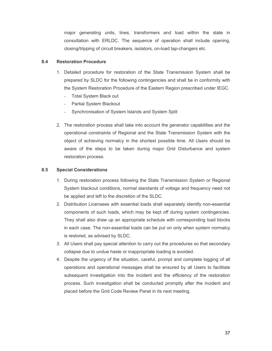major generating units, lines, transformers and load within the state in consultation with ERLDC. The sequence of operation shall include opening, closing/tripping of circuit breakers, isolators, on-load tap-changers etc.

# **8.4 Restoration Procedure**

- 1. Detailed procedure for restoration of the State Transmission System shall be prepared by SLDC for the following contingencies and shall be in conformity with the System Restoration Procedure of the Eastern Region prescribed under IEGC.
	- Total System Black out
	- Partial System Blackout
	- Synchronisation of System Islands and System Split
- 2. The restoration process shall take into account the generator capabilities and the operational constraints of Regional and the State Transmission System with the object of achieving normalcy in the shortest possible time. All Users should be aware of the steps to be taken during major Grid Disturbance and system restoration process.

# **8.5 Special Considerations**

- 1. During restoration process following the State Transmission System or Regional System blackout conditions, normal standards of voltage and frequency need not be applied and left to the discretion of the SLDC.
- 2. Distribution Licensees with essential loads shall separately identify non-essential components of such loads, which may be kept off during system contingencies. They shall also draw up an appropriate schedule with corresponding load blocks in each case. The non-essential loads can be put on only when system normalcy is restored, as advised by SLDC.
- 3. All Users shall pay special attention to carry out the procedures so that secondary collapse due to undue haste or inappropriate loading is avoided.
- 4. Despite the urgency of the situation, careful, prompt and complete logging of all operations and operational messages shall be ensured by all Users to facilitate subsequent investigation into the incident and the efficiency of the restoration process. Such investigation shall be conducted promptly after the incident and placed before the Grid Code Review Panel in its next meeting.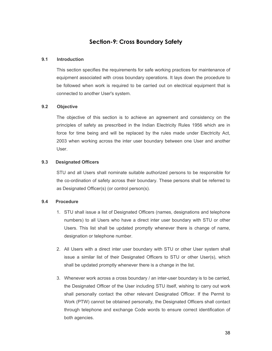# **Section-9: Cross Boundary Safety**

# **9.1 Introduction**

This section specifies the requirements for safe working practices for maintenance of equipment associated with cross boundary operations. It lays down the procedure to be followed when work is required to be carried out on electrical equipment that is connected to another User's system.

# **9.2 Objective**

The objective of this section is to achieve an agreement and consistency on the principles of safety as prescribed in the Indian Electricity Rules 1956 which are in force for time being and will be replaced by the rules made under Electricity Act, 2003 when working across the inter user boundary between one User and another User.

# **9.3 Designated Officers**

STU and all Users shall nominate suitable authorized persons to be responsible for the co-ordination of safety across their boundary. These persons shall be referred to as Designated Officer(s) (or control person(s).

### **9.4 Procedure**

- 1. STU shall issue a list of Designated Officers (names, designations and telephone numbers) to all Users who have a direct inter user boundary with STU or other Users. This list shall be updated promptly whenever there is change of name, designation or telephone number.
- 2. All Users with a direct inter user boundary with STU or other User system shall issue a similar list of their Designated Officers to STU or other User(s), which shall be updated promptly whenever there is a change in the list.
- 3. Whenever work across a cross boundary / an inter-user boundary is to be carried, the Designated Officer of the User including STU itself, wishing to carry out work shall personally contact the other relevant Designated Officer. If the Permit to Work (PTW) cannot be obtained personally, the Designated Officers shall contact through telephone and exchange Code words to ensure correct identification of both agencies.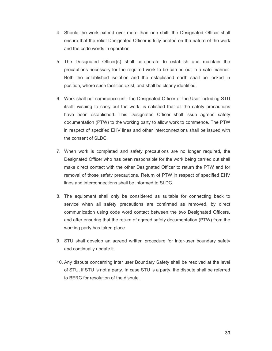- 4. Should the work extend over more than one shift, the Designated Officer shall ensure that the relief Designated Officer is fully briefed on the nature of the work and the code words in operation.
- 5. The Designated Officer(s) shall co-operate to establish and maintain the precautions necessary for the required work to be carried out in a safe manner. Both the established isolation and the established earth shall be locked in position, where such facilities exist, and shall be clearly identified.
- 6. Work shall not commence until the Designated Officer of the User including STU itself, wishing to carry out the work, is satisfied that all the safety precautions have been established. This Designated Officer shall issue agreed safety documentation (PTW) to the working party to allow work to commence. The PTW in respect of specified EHV lines and other interconnections shall be issued with the consent of SLDC.
- 7. When work is completed and safety precautions are no longer required, the Designated Officer who has been responsible for the work being carried out shall make direct contact with the other Designated Officer to return the PTW and for removal of those safety precautions. Return of PTW in respect of specified EHV lines and interconnections shall be informed to SLDC.
- 8. The equipment shall only be considered as suitable for connecting back to service when all safety precautions are confirmed as removed, by direct communication using code word contact between the two Designated Officers, and after ensuring that the return of agreed safety documentation (PTW) from the working party has taken place.
- 9. STU shall develop an agreed written procedure for inter-user boundary safety and continually update it.
- 10. Any dispute concerning inter user Boundary Safety shall be resolved at the level of STU, if STU is not a party. In case STU is a party, the dispute shall be referred to BERC for resolution of the dispute.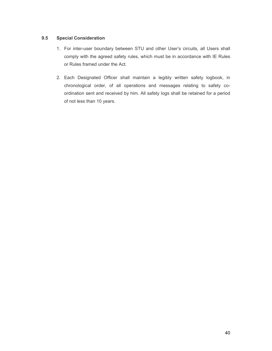# **9.5 Special Consideration**

- 1. For inter-user boundary between STU and other User's circuits, all Users shall comply with the agreed safety rules, which must be in accordance with IE Rules or Rules framed under the Act.
- 2. Each Designated Officer shall maintain a legibly written safety logbook, in chronological order, of all operations and messages relating to safety coordination sent and received by him. All safety logs shall be retained for a period of not less than 10 years.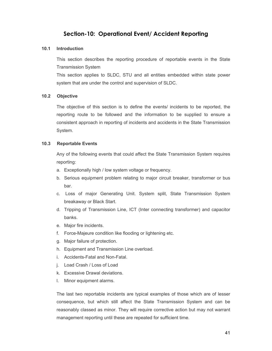# **Section-10: Operational Event/ Accident Reporting**

### **10.1 Introduction**

This section describes the reporting procedure of reportable events in the State Transmission System

This section applies to SLDC, STU and all entities embedded within state power system that are under the control and supervision of SLDC.

# **10.2 Objective**

The objective of this section is to define the events/ incidents to be reported, the reporting route to be followed and the information to be supplied to ensure a consistent approach in reporting of incidents and accidents in the State Transmission System.

# **10.3 Reportable Events**

Any of the following events that could affect the State Transmission System requires reporting:

- a. Exceptionally high / low system voltage or frequency.
- b. Serious equipment problem relating to major circuit breaker, transformer or bus bar.
- c. Loss of major Generating Unit. System split, State Transmission System breakaway or Black Start.
- d. Tripping of Transmission Line, ICT (Inter connecting transformer) and capacitor banks.
- e. Major fire incidents.
- f. Force-Majeure condition like flooding or lightening etc.
- g. Major failure of protection.
- h. Equipment and Transmission Line overload.
- i. Accidents-Fatal and Non-Fatal.
- j. Load Crash / Loss of Load
- k. Excessive Drawal deviations.
- l. Minor equipment alarms.

The last two reportable incidents are typical examples of those which are of lesser consequence, but which still affect the State Transmission System and can be reasonably classed as minor. They will require corrective action but may not warrant management reporting until these are repeated for sufficient time.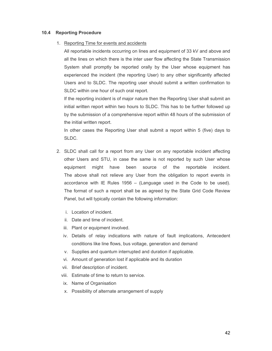#### **10.4 Reporting Procedure**

#### 1. Reporting Time for events and accidents

All reportable incidents occurring on lines and equipment of 33 kV and above and all the lines on which there is the inter user flow affecting the State Transmission System shall promptly be reported orally by the User whose equipment has experienced the incident (the reporting User) to any other significantly affected Users and to SLDC. The reporting user should submit a written confirmation to SLDC within one hour of such oral report.

If the reporting incident is of major nature then the Reporting User shall submit an initial written report within two hours to SLDC. This has to be further followed up by the submission of a comprehensive report within 48 hours of the submission of the initial written report.

In other cases the Reporting User shall submit a report within 5 (five) days to SLDC.

- 2. SLDC shall call for a report from any User on any reportable incident affecting other Users and STU, in case the same is not reported by such User whose equipment might have been source of the reportable incident. The above shall not relieve any User from the obligation to report events in accordance with IE Rules 1956 – (Language used in the Code to be used). The format of such a report shall be as agreed by the State Grid Code Review Panel, but will typically contain the following information:
	- i. Location of incident.
	- ii. Date and time of incident.
	- iii. Plant or equipment involved.
	- iv. Details of relay indications with nature of fault implications, Antecedent conditions like line flows, bus voltage, generation and demand
	- v. Supplies and quantum interrupted and duration if applicable.
	- vi. Amount of generation lost if applicable and its duration
	- vii. Brief description of incident.
	- viii. Estimate of time to return to service.
	- ix. Name of Organisation
	- x. Possibility of alternate arrangement of supply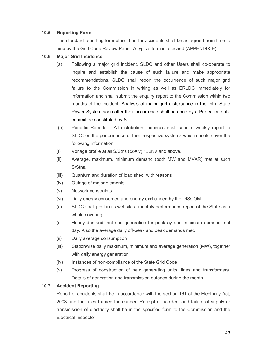# **10.5 Reporting Form**

The standard reporting form other than for accidents shall be as agreed from time to time by the Grid Code Review Panel. A typical form is attached (APPENDIX-E).

# **10.6 Major Grid Incidence**

- (a) Following a major grid incident, SLDC and other Users shall co-operate to inquire and establish the cause of such failure and make appropriate recommendations. SLDC shall report the occurrence of such major grid failure to the Commission in writing as well as ERLDC immediately for information and shall submit the enquiry report to the Commission within two months of the incident. Analysis of major grid disturbance in the Intra State Power System soon after their occurrence shall be done by a Protection subcommittee constituted by STU.
- (b) Periodic Reports All distribution licensees shall send a weekly report to SLDC on the performance of their respective systems which should cover the following information:
- (i) Voltage profile at all S/Stns (*66KV*) 132KV and above.
- (ii) Average, maximum, minimum demand (both MW and MVAR) met at such S/Stns.
- (iii) Quantum and duration of load shed, with reasons
- (iv) Outage of major elements
- (v) Network constraints
- (vi) Daily energy consumed and energy exchanged by the DISCOM
- (c) SLDC shall post in its website a monthly performance report of the State as a whole covering:
- (i) Hourly demand met and generation for peak ay and minimum demand met day. Also the average daily off-peak and peak demands met.
- (ii) Daily average consumption
- (iii) Stationwise daily maximum, minimum and average generation (MW), together with daily energy generation
- (iv) Instances of non-compliance of the State Grid Code
- (v) Progress of construction of new generating units, lines and transformers. Details of generation and transmission outages during the month.

### **10.7 Accident Reporting**

Report of accidents shall be in accordance with the section 161 of the Electricity Act, 2003 and the rules framed thereunder. Receipt of accident and failure of supply or transmission of electricity shall be in the specified form to the Commission and the Electrical Inspector.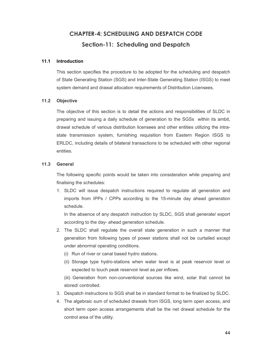# **CHAPTER-4: SCHEDULING AND DESPATCH CODE Section-11: Scheduling and Despatch**

#### **11.1 Introduction**

This section specifies the procedure to be adopted for the scheduling and despatch of State Generating Station (SGS) and Inter-State Generating Station (ISGS) to meet system demand and drawal allocation requirements of Distribution Licensees.

#### **11.2 Objective**

The objective of this section is to detail the actions and responsibilities of SLDC in preparing and issuing a daily schedule of generation to the SGSs within its ambit, drawal schedule of various distribution licensees and other entities utilizing the intrastate transmission system, furnishing requisition from Eastern Region ISGS to ERLDC, including details of bilateral transactions to be scheduled with other regional entities.

### **11.3 General**

The following specific points would be taken into consideration while preparing and finalising the schedules:

1. SLDC will issue despatch instructions required to regulate all generation and imports from IPPs / CPPs according to the 15-minute day ahead generation schedule.

In the absence of any despatch instruction by SLDC, SGS shall generate/ export according to the day- ahead generation schedule.

- 2. The SLDC shall regulate the overall state generation in such a manner that generation from following types of power stations shall not be curtailed except under abnormal operating conditions.
	- (i) Run of river or canal based hydro stations.
	- (ii) Storage type hydro-stations when water level is at peak reservoir level or expected to touch peak reservoir level as per inflows.

(iii) Generation from non-conventional sources like wind, solar that cannot be stored/ controlled.

- 3. Despatch instructions to SGS shall be in standard format to be finalized by SLDC.
- 4. The algebraic sum of scheduled drawals from ISGS, long term open access, and short term open access arrangements shall be the net drawal schedule for the control area of the utility.

44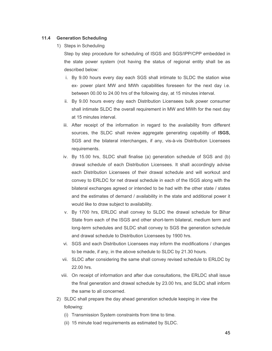### **11.4 Generation Scheduling**

1) Steps in Scheduling

Step by step procedure for scheduling of ISGS and SGS/IPP/CPP embedded in the state power system (not having the status of regional entity shall be as described below:

- i. By 9.00 hours every day each SGS shall intimate to SLDC the station wise ex- power plant MW and MWh capabilities foreseen for the next day i.e. between 00.00 to 24.00 hrs of the following day, at 15 minutes interval.
- ii. By 9.00 hours every day each Distribution Licensees bulk power consumer shall intimate SLDC the overall requirement in MW and MWh for the next day at 15 minutes interval.
- iii. After receipt of the information in regard to the availability from different sources, the SLDC shall review aggregate generating capability of **ISGS,** SGS and the bilateral interchanges, if any, vis-à-vis Distribution Licensees requirements.
- iv. By 15.00 hrs, SLDC shall finalise (a) generation schedule of SGS and (b) drawal schedule of each Distribution Licensees. It shall accordingly advise each Distribution Licensees of their drawal schedule and will workout and convey to ERLDC for net drawal schedule in each of the ISGS along with the bilateral exchanges agreed or intended to be had with the other state / states and the estimates of demand / availability in the state and additional power it would like to draw subject to availability.
- v. By 1700 hrs, ERLDC shall convey to SLDC the drawal schedule for Bihar State from each of the ISGS and other short-term bilateral, medium term and long-term schedules and SLDC shall convey to SGS the generation schedule and drawal schedule to Distribution Licensees by 1900 hrs.
- vi. SGS and each Distribution Licensees may inform the modifications / changes to be made, if any, in the above schedule to SLDC by 21.30 hours.
- vii. SLDC after considering the same shall convey revised schedule to ERLDC by 22.00 hrs.
- viii. On receipt of information and after due consultations, the ERLDC shall issue the final generation and drawal schedule by 23.00 hrs, and SLDC shall inform the same to all concerned.
- 2) SLDC shall prepare the day ahead generation schedule keeping in view the following:
	- (i) Transmission System constraints from time to time.
	- (ii) 15 minute load requirements as estimated by SLDC.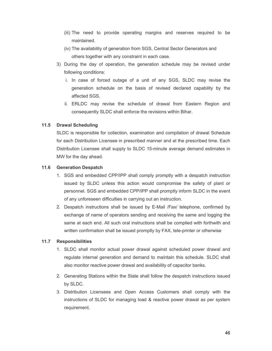- (iii) The need to provide operating margins and reserves required to be maintained.
- (iv) The availability of generation from SGS, Central Sector Generators and others together with any constraint in each case.
- 3) During the day of operation, the generation schedule may be revised under following conditions:
	- i. In case of forced outage of a unit of any SGS, SLDC may revise the generation schedule on the basis of revised declared capability by the affected SGS.
	- ii. ERLDC may revise the schedule of drawal from Eastern Region and consequently SLDC shall enforce the revisions within Bihar.

# **11.5 Drawal Scheduling**

SLDC is responsible for collection, examination and compilation of drawal Schedule for each Distribution Licensee in prescribed manner and at the prescribed time. Each Distribution Licensee shall supply to SLDC 15-minute average demand estimates in MW for the day ahead.

### **11.6 Generation Despatch**

- 1. SGS and embedded CPP/IPP shall comply promptly with a despatch instruction issued by SLDC unless this action would compromise the safety of plant or personnel. SGS and embedded CPP/IPP shall promptly inform SLDC in the event of any unforeseen difficulties in carrying out an instruction.
- 2. Despatch instructions shall be issued by E-Mail /Fax/ telephone, confirmed by exchange of name of operators sending and receiving the same and logging the same at each end. All such oral instructions shall be complied with forthwith and written confirmation shall be issued promptly by FAX, tele-printer or otherwise

### **11.7 Responsibilities**

- 1. SLDC shall monitor actual power drawal against scheduled power drawal and regulate internal generation and demand to maintain this schedule. SLDC shall also monitor reactive power drawal and availability of capacitor banks.
- 2. Generating Stations within the State shall follow the despatch instructions issued by SLDC.
- 3. Distribution Licensees and Open Access Customers shall comply with the instructions of SLDC for managing load & reactive power drawal as per system requirement.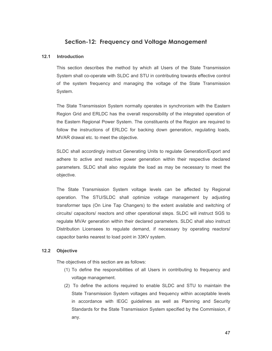# **Section-12: Frequency and Voltage Management**

# **12.1 Introduction**

This section describes the method by which all Users of the State Transmission System shall co-operate with SLDC and STU in contributing towards effective control of the system frequency and managing the voltage of the State Transmission System.

The State Transmission System normally operates in synchronism with the Eastern Region Grid and ERLDC has the overall responsibility of the integrated operation of the Eastern Regional Power System. The constituents of the Region are required to follow the instructions of ERLDC for backing down generation, regulating loads, MVAR drawal etc. to meet the objective.

SLDC shall accordingly instruct Generating Units to regulate Generation/Export and adhere to active and reactive power generation within their respective declared parameters. SLDC shall also regulate the load as may be necessary to meet the objective.

The State Transmission System voltage levels can be affected by Regional operation. The STU/SLDC shall optimize voltage management by adjusting transformer taps (On Line Tap Changers) to the extent available and switching of circuits/ capacitors/ reactors and other operational steps. SLDC will instruct SGS to regulate MVAr generation within their declared parameters. SLDC shall also instruct Distribution Licensees to regulate demand, if necessary by operating reactors/ capacitor banks nearest to load point in 33KV system.

### **12.2 Objective**

The objectives of this section are as follows:

- (1) To define the responsibilities of all Users in contributing to frequency and voltage management.
- (2) To define the actions required to enable SLDC and STU to maintain the State Transmission System voltages and frequency within acceptable levels in accordance with IEGC guidelines as well as Planning and Security Standards for the State Transmission System specified by the Commission, if any.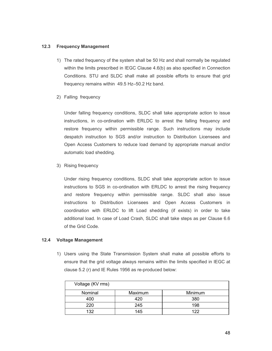### **12.3 Frequency Management**

- 1) The rated frequency of the system shall be 50 Hz and shall normally be regulated within the limits prescribed in IEGC Clause 4.6(b) as also specified in Connection Conditions. STU and SLDC shall make all possible efforts to ensure that grid frequency remains within 49.5 Hz–50.2 Hz band.
- 2) Falling frequency

Under falling frequency conditions, SLDC shall take appropriate action to issue instructions, in co-ordination with ERLDC to arrest the falling frequency and restore frequency within permissible range. Such instructions may include despatch instruction to SGS and/or instruction to Distribution Licensees and Open Access Customers to reduce load demand by appropriate manual and/or automatic load shedding.

3) Rising frequency

Under rising frequency conditions, SLDC shall take appropriate action to issue instructions to SGS in co-ordination with ERLDC to arrest the rising frequency and restore frequency within permissible range. SLDC shall also issue instructions to Distribution Licensees and Open Access Customers in coordination with ERLDC to lift Load shedding (if exists) in order to take additional load. In case of Load Crash, SLDC shall take steps as per Clause 6.6 of the Grid Code.

### **12.4 Voltage Management**

1) Users using the State Transmission System shall make all possible efforts to ensure that the grid voltage always remains within the limits specified in IEGC at clause 5.2 (r) and IE Rules 1956 as re-produced below:

| Voltage (KV rms) |         |         |
|------------------|---------|---------|
| Nominal          | Maximum | Minimum |
| 400              | 420     | 380     |
| 220              | 245     | 198     |
| 132              | 145     | 122     |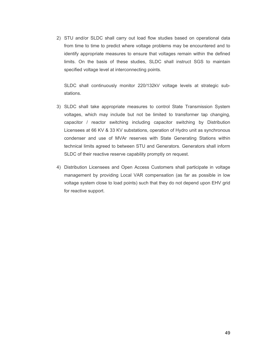2) STU and/or SLDC shall carry out load flow studies based on operational data from time to time to predict where voltage problems may be encountered and to identify appropriate measures to ensure that voltages remain within the defined limits. On the basis of these studies, SLDC shall instruct SGS to maintain specified voltage level at interconnecting points.

SLDC shall continuously monitor 220/132kV voltage levels at strategic substations.

- 3) SLDC shall take appropriate measures to control State Transmission System voltages, which may include but not be limited to transformer tap changing, capacitor / reactor switching including capacitor switching by Distribution Licensees at 66 KV & 33 KV substations, operation of Hydro unit as synchronous condenser and use of MVAr reserves with State Generating Stations within technical limits agreed to between STU and Generators. Generators shall inform SLDC of their reactive reserve capability promptly on request.
- 4) Distribution Licensees and Open Access Customers shall participate in voltage management by providing Local VAR compensation (as far as possible in low voltage system close to load points) such that they do not depend upon EHV grid for reactive support.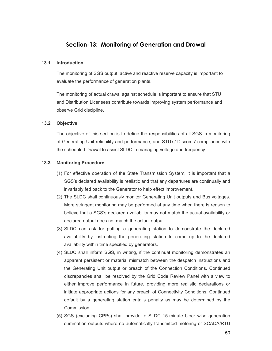# **Section-13: Monitoring of Generation and Drawal**

#### **13.1 Introduction**

The monitoring of SGS output, active and reactive reserve capacity is important to evaluate the performance of generation plants.

The monitoring of actual drawal against schedule is important to ensure that STU and Distribution Licensees contribute towards improving system performance and observe Grid discipline.

#### **13.2 Objective**

The objective of this section is to define the responsibilities of all SGS in monitoring of Generating Unit reliability and performance, and STU's/ Discoms' compliance with the scheduled Drawal to assist SLDC in managing voltage and frequency.

#### **13.3 Monitoring Procedure**

- (1) For effective operation of the State Transmission System, it is important that a SGS's declared availability is realistic and that any departures are continually and invariably fed back to the Generator to help effect improvement.
- (2) The SLDC shall continuously monitor Generating Unit outputs and Bus voltages. More stringent monitoring may be performed at any time when there is reason to believe that a SGS's declared availability may not match the actual availability or declared output does not match the actual output.
- (3) SLDC can ask for putting a generating station to demonstrate the declared availability by instructing the generating station to come up to the declared availability within time specified by generators.
- (4) SLDC shall inform SGS, in writing, if the continual monitoring demonstrates an apparent persistent or material mismatch between the despatch instructions and the Generating Unit output or breach of the Connection Conditions. Continued discrepancies shall be resolved by the Grid Code Review Panel with a view to either improve performance in future, providing more realistic declarations or initiate appropriate actions for any breach of Connectivity Conditions. Continued default by a generating station entails penalty as may be determined by the Commission.
- (5) SGS (excluding CPPs) shall provide to SLDC 15-minute block-wise generation summation outputs where no automatically transmitted metering or SCADA/RTU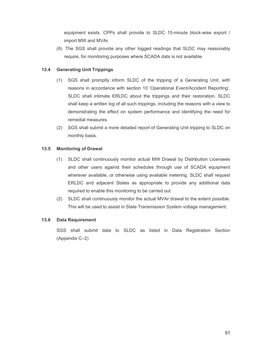equipment exists. CPPs shall provide to SLDC 15-minute block-wise export / import MW and MVAr.

(6) The SGS shall provide any other logged readings that SLDC may reasonably require, for monitoring purposes where SCADA data is not available.

# **13.4 Generating Unit Trippings**

- (1) SGS shall promptly inform SLDC of the tripping of a Generating Unit, with reasons in accordance with section 10 'Operational Event/Accident Reporting'. SLDC shall intimate ERLDC about the trippings and their restoration. SLDC shall keep a written log of all such trippings, including the reasons with a view to demonstrating the effect on system performance and identifying the need for remedial measures.
- (2) SGS shall submit a more detailed report of Generating Unit tripping to SLDC on monthly basis.

# **13.5 Monitoring of Drawal**

- (1) SLDC shall continuously monitor actual MW Drawal by Distribution Licensees and other users against their schedules through use of SCADA equipment wherever available, or otherwise using available metering. SLDC shall request ERLDC and adjacent States as appropriate to provide any additional data required to enable this monitoring to be carried out.
- (2) SLDC shall continuously monitor the actual MVAr drawal to the extent possible. This will be used to assist in State Transmission System voltage management.

### **13.6 Data Requirement**

SGS shall submit data to SLDC as listed in Data Registration Section (Appendix C–2)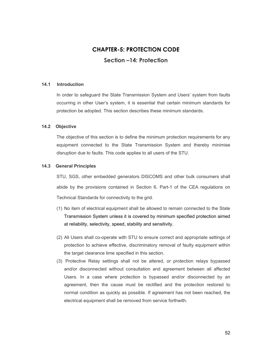# **CHAPTER-5: PROTECTION CODE Section –14: Protection**

#### **14.1 Introduction**

In order to safeguard the State Transmission System and Users' system from faults occurring in other User's system, it is essential that certain minimum standards for protection be adopted. This section describes these minimum standards.

#### **14.2 Objective**

The objective of this section is to define the minimum protection requirements for any equipment connected to the State Transmission System and thereby minimise disruption due to faults. This code applies to all users of the STU.

#### **14.3 General Principles**

STU, SGS, other embedded generators DISCOMS and other bulk consumers shall abide by the provisions contained in Section 6, Part-1 of the CEA regulations on Technical Standards for connectivity to the grid.

- (1) No item of electrical equipment shall be allowed to remain connected to the State Transmission System unless it is covered by minimum specified protection aimed at reliability, selectivity, speed, stability and sensitivity.
- (2) All Users shall co-operate with STU to ensure correct and appropriate settings of protection to achieve effective, discriminatory removal of faulty equipment within the target clearance time specified in this section.
- (3) Protective Relay settings shall not be altered, or protection relays bypassed and/or disconnected without consultation and agreement between all affected Users. In a case where protection is bypassed and/or disconnected by an agreement, then the cause must be rectified and the protection restored to normal condition as quickly as possible. If agreement has not been reached, the electrical equipment shall be removed from service forthwith.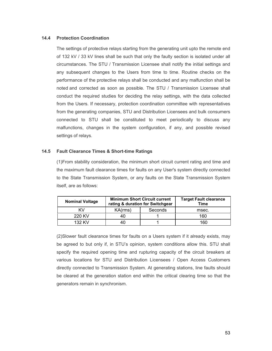### **14.4 Protection Coordination**

The settings of protective relays starting from the generating unit upto the remote end of 132 kV / 33 kV lines shall be such that only the faulty section is isolated under all circumstances. The STU / Transmission Licensee shall notify the initial settings and any subsequent changes to the Users from time to time. Routine checks on the performance of the protective relays shall be conducted and any malfunction shall be noted and corrected as soon as possible. The STU / Transmission Licensee shall conduct the required studies for deciding the relay settings, with the data collected from the Users. If necessary, protection coordination committee with representatives from the generating companies, STU and Distribution Licensees and bulk consumers connected to STU shall be constituted to meet periodically to discuss any malfunctions, changes in the system configuration, if any, and possible revised settings of relays.

# **14.5 Fault Clearance Times & Short-time Ratings**

(1)From stability consideration, the minimum short circuit current rating and time and the maximum fault clearance times for faults on any User's system directly connected to the State Transmission System, or any faults on the State Transmission System itself, are as follows:

| <b>Nominal Voltage</b> |         | <b>Minimum Short Circuit current</b><br>rating & duration for Switchgear | <b>Target Fault clearance</b><br><b>Time</b> |  |
|------------------------|---------|--------------------------------------------------------------------------|----------------------------------------------|--|
| ΚV                     | KA(rms) | Seconds                                                                  | msec.                                        |  |
| 220 KV                 | 40      |                                                                          | 160                                          |  |
| 132 KV                 | 40      |                                                                          | 160                                          |  |

(2)Slower fault clearance times for faults on a Users system if it already exists, may be agreed to but only if, in STU's opinion, system conditions allow this. STU shall specify the required opening time and rupturing capacity of the circuit breakers at various locations for STU and Distribution Licensees / Open Access Customers directly connected to Transmission System. At generating stations, line faults should be cleared at the generation station end within the critical clearing time so that the generators remain in synchronism.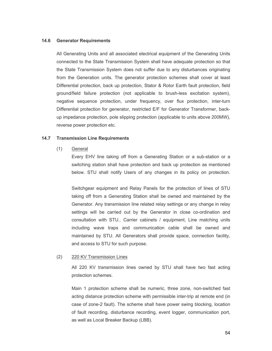#### **14.6 Generator Requirements**

All Generating Units and all associated electrical equipment of the Generating Units connected to the State Transmission System shall have adequate protection so that the State Transmission System does not suffer due to any disturbances originating from the Generation units. The generator protection schemes shall cover at least Differential protection, back up protection, Stator & Rotor Earth fault protection, field ground/field failure protection (not applicable to brush-less excitation system), negative sequence protection, under frequency, over flux protection, inter-turn Differential protection for generator, restricted E/F for Generator Transformer, backup impedance protection, pole slipping protection (applicable to units above 200MW), reverse power protection etc.

#### **14.7 Transmission Line Requirements**

#### (1) General

Every EHV line taking off from a Generating Station or a sub-station or a switching station shall have protection and back up protection as mentioned below. STU shall notify Users of any changes in its policy on protection.

Switchgear equipment and Relay Panels for the protection of lines of STU taking off from a Generating Station shall be owned and maintained by the Generator. Any transmission line related relay settings or any change in relay settings will be carried out by the Generator in close co-ordination and consultation with STU.. Carrier cabinets / equipment, Line matching units including wave traps and communication cable shall be owned and maintained by STU. All Generators shall provide space, connection facility, and access to STU for such purpose.

#### (2) 220 KV Transmission Lines

All 220 KV transmission lines owned by STU shall have two fast acting protection schemes.

Main 1 protection scheme shall be numeric, three zone, non-switched fast acting distance protection scheme with permissible inter-trip at remote end (in case of zone-2 fault). The scheme shall have power swing blocking, location of fault recording, disturbance recording, event logger, communication port, as well as Local Breaker Backup (LBB).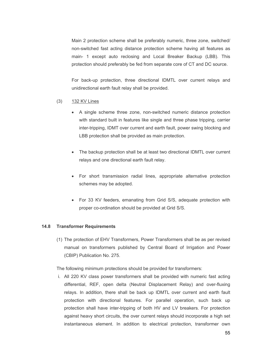Main 2 protection scheme shall be preferably numeric, three zone, switched/ non-switched fast acting distance protection scheme having all features as main- 1 except auto reclosing and Local Breaker Backup (LBB). This protection should preferably be fed from separate core of CT and DC source.

For back-up protection, three directional IDMTL over current relays and unidirectional earth fault relay shall be provided.

#### (3) 132 KV Lines

- A single scheme three zone, non-switched numeric distance protection with standard built in features like single and three phase tripping, carrier inter-tripping, IDMT over current and earth fault, power swing blocking and LBB protection shall be provided as main protection.
- The backup protection shall be at least two directional IDMTL over current relays and one directional earth fault relay.
- For short transmission radial lines, appropriate alternative protection schemes may be adopted.
- For 33 KV feeders, emanating from Grid S/S, adequate protection with proper co-ordination should be provided at Grid S/S.

#### **14.8 Transformer Requirements**

(1) The protection of EHV Transformers, Power Transformers shall be as per revised manual on transformers published by Central Board of Irrigation and Power (CBIP) Publication No. 275.

The following minimum protections should be provided for transformers:

i. All 220 KV class power transformers shall be provided with numeric fast acting differential, REF, open delta (Neutral Displacement Relay) and over-fluxing relays. In addition, there shall be back up IDMTL over current and earth fault protection with directional features. For parallel operation, such back up protection shall have inter-tripping of both HV and LV breakers. For protection against heavy short circuits, the over current relays should incorporate a high set instantaneous element. In addition to electrical protection, transformer own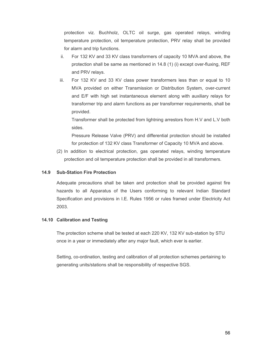protection viz. Buchholz, OLTC oil surge, gas operated relays, winding temperature protection, oil temperature protection, PRV relay shall be provided for alarm and trip functions.

- ii. For 132 KV and 33 KV class transformers of capacity 10 MVA and above, the protection shall be same as mentioned in 14.8 (1) (i) except over-fluxing, REF and PRV relays.
- iii. For 132 KV and 33 KV class power transformers less than or equal to 10 MVA provided on either Transmission or Distribution System, over-current and E/F with high set instantaneous element along with auxiliary relays for transformer trip and alarm functions as per transformer requirements, shall be provided.

Transformer shall be protected from lightning arrestors from H.V and L.V both sides.

Pressure Release Valve (PRV) and differential protection should be installed for protection of 132 KV class Transformer of Capacity 10 MVA and above.

(2) In addition to electrical protection, gas operated relays, winding temperature protection and oil temperature protection shall be provided in all transformers.

### **14.9 Sub-Station Fire Protection**

Adequate precautions shall be taken and protection shall be provided against fire hazards to all Apparatus of the Users conforming to relevant Indian Standard Specification and provisions in I.E. Rules 1956 or rules framed under Electricity Act 2003.

### **14.10 Calibration and Testing**

The protection scheme shall be tested at each 220 KV, 132 KV sub-station by STU once in a year or immediately after any major fault, which ever is earlier.

Setting, co-ordination, testing and calibration of all protection schemes pertaining to generating units/stations shall be responsibility of respective SGS.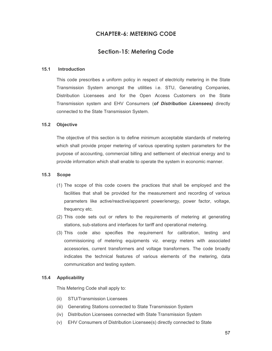# **CHAPTER-6: METERING CODE**

# **Section-15: Metering Code**

#### **15.1 Introduction**

This code prescribes a uniform policy in respect of electricity metering in the State Transmission System amongst the utilities i.e. STU, Generating Companies, Distribution Licensees and for the Open Access Customers on the State Transmission system and EHV Consumers (*of Distribution Licensees)* directly connected to the State Transmission System.

#### **15.2 Objective**

The objective of this section is to define minimum acceptable standards of metering which shall provide proper metering of various operating system parameters for the purpose of accounting, commercial billing and settlement of electrical energy and to provide information which shall enable to operate the system in economic manner.

#### **15.3 Scope**

- (1) The scope of this code covers the practices that shall be employed and the facilities that shall be provided for the measurement and recording of various parameters like active/reactive/apparent power/energy, power factor, voltage, frequency etc.
- (2) This code sets out or refers to the requirements of metering at generating stations, sub-stations and interfaces for tariff and operational metering.
- (3) This code also specifies the requirement for calibration, testing and commissioning of metering equipments viz. energy meters with associated accessories, current transformers and voltage transformers. The code broadly indicates the technical features of various elements of the metering, data communication and testing system.

#### **15.4 Applicability**

This Metering Code shall apply to:

- (ii) STU/Transmission Licensees
- (iii) Generating Stations connected to State Transmission System
- (iv) Distribution Licensees connected with State Transmission System
- (v) EHV Consumers of Distribution Licensee(s) directly connected to State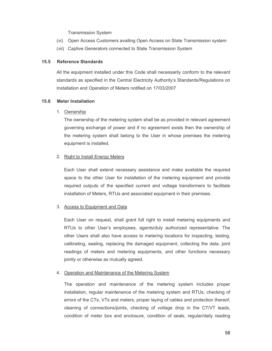Transmission System

- (vi) Open Access Customers availing Open Access on State Transmission system
- (vii) Captive Generators connected to State Transmission System

#### **15.5 Reference Standards**

All the equipment installed under this Code shall necessarily conform to the relevant standards as specified in the Central Electricity Authority's Standards/Regulations on Installation and Operation of Meters notified on 17/03/2007

#### **15.6 Meter Installation**

#### 1. Ownership

The ownership of the metering system shall be as provided in relevant agreement governing exchange of power and if no agreement exists then the ownership of the metering system shall belong to the User in whose premises the metering equipment is installed.

#### 2. Right to Install Energy Meters

Each User shall extend necessary assistance and make available the required space to the other User for installation of the metering equipment and provide required outputs of the specified current and voltage transformers to facilitate installation of Meters, RTUs and associated equipment in their premises.

### 3. Access to Equipment and Data

Each User on request, shall grant full right to install metering equipments and RTUs to other User's employees, agents/duly authorized representative. The other Users shall also have access to metering locations for inspecting, testing, calibrating, sealing, replacing the damaged equipment, collecting the data, joint readings of meters and metering equipments, and other functions necessary jointly or otherwise as mutually agreed.

#### 4. Operation and Maintenance of the Metering System

The operation and maintenance of the metering system includes proper installation, regular maintenance of the metering system and RTUs, checking of errors of the CTs, VTs and meters, proper laying of cables and protection thereof, cleaning of connections/joints, checking of voltage drop in the CT/VT leads, condition of meter box and enclosure, condition of seals, regular/daily reading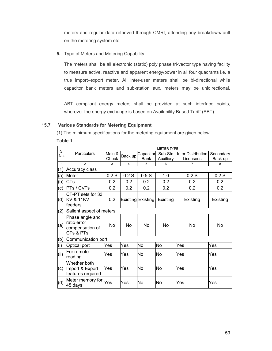meters and regular data retrieved through CMRI, attending any breakdown/fault on the metering system etc.

# **5.** Type of Meters and Metering Capability

The meters shall be all electronic (static) poly phase tri-vector type having facility to measure active, reactive and apparent energy/power in all four quadrants i.e. a true import–export meter. All inter-user meters shall be bi-directional while capacitor bank meters and sub-station aux. meters may be unidirectional.

ABT compliant energy meters shall be provided at such interface points, wherever the energy exchange is based on Availability Based Tariff (ABT).

### **15.7 Various Standards for Metering Equipment**

(1) The minimum specifications for the metering equipment are given below.

**Table 1** 

|              |                                                                 | <b>METER TYPE</b> |         |                   |                      |                                 |                      |  |  |  |  |
|--------------|-----------------------------------------------------------------|-------------------|---------|-------------------|----------------------|---------------------------------|----------------------|--|--|--|--|
| S.<br>No.    | Particulars                                                     | Main &<br>Check   | Back up | Capacitor<br>Bank | Sub-Stn<br>Auxiliary | Inter Distribution<br>Licensees | Secondary<br>Back up |  |  |  |  |
| $\mathbf{1}$ | $\overline{2}$                                                  | 3                 | 4       | 5                 | 6                    | $\overline{7}$                  | 8                    |  |  |  |  |
| (1)          | Accuracy class                                                  |                   |         |                   |                      |                                 |                      |  |  |  |  |
| (a)          | Meter                                                           | 0.2S              | 0.2S    | 0.5S              | 1.0                  | 0.2S                            | 0.2S                 |  |  |  |  |
| (b)          | <b>CTs</b>                                                      | 0.2               | 0.2     | 0.2               | 0.2                  | 0.2                             | 0.2                  |  |  |  |  |
| (c)          | <b>PTs / CVTs</b>                                               | 0.2               | 0.2     | 0.2               | 0.2                  | 0.2                             | 0.2                  |  |  |  |  |
| (d)          | CT-PT sets for 33<br><b>KV &amp; 11KV</b><br>lfeeders           | 0.2               |         | Existing Existing | Existing             | Existing                        | Existing             |  |  |  |  |
| (2)          | Salient aspect of meters                                        |                   |         |                   |                      |                                 |                      |  |  |  |  |
| (a)          | Phase angle and<br>Iratio error<br>compensation of<br>CTs & PTs | N <sub>0</sub>    | No      | No                | <b>No</b>            | No                              | No                   |  |  |  |  |
| (b)          | Communication port                                              |                   |         |                   |                      |                                 |                      |  |  |  |  |
| (i)          | Optical port                                                    | Yes               | Yes     | <b>No</b>         | No                   | Yes                             | Yes                  |  |  |  |  |
| (ii)         | For remote<br>reading                                           | Yes               | Yes     | No                | No                   | Yes                             | Yes                  |  |  |  |  |
| (c)          | Whether both<br>Import & Export<br>features required            | Yes               | Yes     | No                | No                   | Yes                             | Yes                  |  |  |  |  |
| (d)          | Meter memory for Yes<br>45 days                                 |                   | Yes     | No                | No                   | Yes                             | Yes                  |  |  |  |  |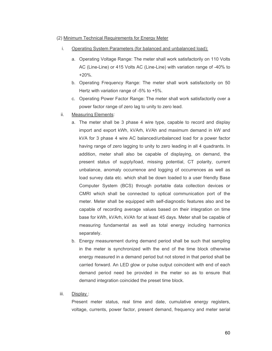#### (2) Minimum Technical Requirements for Energy Meter

- i. Operating System Parameters (for balanced and unbalanced load):
	- a. Operating Voltage Range: The meter shall work satisfactorily on 110 Volts AC (Line-Line) or 415 Volts AC (Line-Line) with variation range of -40% to +20%.
	- b. Operating Frequency Range: The meter shall work satisfactorily on 50 Hertz with variation range of -5% to +5%.
	- c. Operating Power Factor Range: The meter shall work satisfactorily over a power factor range of zero lag to unity to zero lead.
- ii. Measuring Elements:
	- a. The meter shall be 3 phase 4 wire type, capable to record and display import and export kWh, kVArh, kVAh and maximum demand in kW and kVA for 3 phase 4 wire AC balanced/unbalanced load for a power factor having range of zero lagging to unity to zero leading in all 4 quadrants. In addition, meter shall also be capable of displaying, on demand, the present status of supply/load, missing potential, CT polarity, current unbalance, anomaly occurrence and logging of occurrences as well as load survey data etc. which shall be down loaded to a user friendly Base Computer System (BCS) through portable data collection devices or CMRI which shall be connected to optical communication port of the meter. Meter shall be equipped with self-diagnostic features also and be capable of recording average values based on their integration on time base for kWh, kVArh, kVAh for at least 45 days. Meter shall be capable of measuring fundamental as well as total energy including harmonics separately.
	- b. Energy measurement during demand period shall be such that sampling in the meter is synchronized with the end of the time block otherwise energy measured in a demand period but not stored in that period shall be carried forward. An LED glow or pulse output coincident with end of each demand period need be provided in the meter so as to ensure that demand integration coincided the preset time block.

#### iii. Display :

Present meter status, real time and date, cumulative energy registers, voltage, currents, power factor, present demand, frequency and meter serial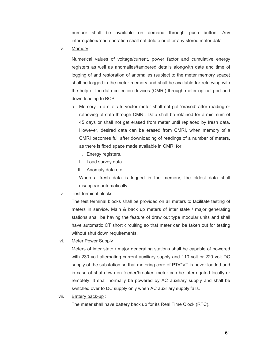number shall be available on demand through push button. Any interrogation/read operation shall not delete or alter any stored meter data.

iv. Memory:

Numerical values of voltage/current, power factor and cumulative energy registers as well as anomalies/tampered details alongwith date and time of logging of and restoration of anomalies (subject to the meter memory space) shall be logged in the meter memory and shall be available for retrieving with the help of the data collection devices (CMRI) through meter optical port and down loading to BCS.

- a. Memory in a static tri-vector meter shall not get 'erased' after reading or retrieving of data through CMRI. Data shall be retained for a minimum of 45 days or shall not get erased from meter until replaced by fresh data. However, desired data can be erased from CMRI, when memory of a CMRI becomes full after downloading of readings of a number of meters, as there is fixed space made available in CMRI for:
	- I. Energy registers.
	- II. Load survey data.
	- III. Anomaly data etc.

When a fresh data is logged in the memory, the oldest data shall disappear automatically.

#### v. Test terminal blocks :

The test terminal blocks shall be provided on all meters to facilitate testing of meters in service. Main & back up meters of inter state / major generating stations shall be having the feature of draw out type modular units and shall have automatic CT short circuiting so that meter can be taken out for testing without shut down requirements.

vi. Meter Power Supply :

Meters of inter state / major generating stations shall be capable of powered with 230 volt alternating current auxiliary supply and 110 volt or 220 volt DC supply of the substation so that metering core of PT/CVT is never loaded and in case of shut down on feeder/breaker, meter can be interrogated locally or remotely. It shall normally be powered by AC auxiliary supply and shall be switched over to DC supply only when AC auxiliary supply fails.

vii. Battery back-up :

The meter shall have battery back up for its Real Time Clock (RTC).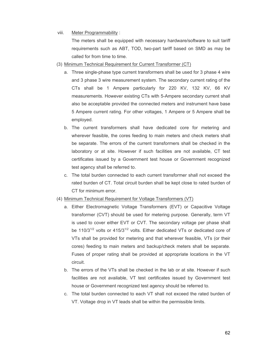#### viii. Meter Programmability :

The meters shall be equipped with necessary hardware/software to suit tariff requirements such as ABT, TOD, two-part tariff based on SMD as may be called for from time to time.

- (3) Minimum Technical Requirement for Current Transformer (CT)
	- a. Three single-phase type current transformers shall be used for 3 phase 4 wire and 3 phase 3 wire measurement system. The secondary current rating of the CTs shall be 1 Ampere particularly for 220 KV, 132 KV, 66 KV measurements. However existing CTs with 5-Ampere secondary current shall also be acceptable provided the connected meters and instrument have base 5 Ampere current rating. For other voltages, 1 Ampere or 5 Ampere shall be employed.
	- b. The current transformers shall have dedicated core for metering and wherever feasible, the cores feeding to main meters and check meters shall be separate. The errors of the current transformers shall be checked in the laboratory or at site. However if such facilities are not available, CT test certificates issued by a Government test house or Government recognized test agency shall be referred to.
	- c. The total burden connected to each current transformer shall not exceed the rated burden of CT. Total circuit burden shall be kept close to rated burden of CT for minimum error.

### (4) Minimum Technical Requirement for Voltage Transformers (VT)

- a. Either Electromagnetic Voltage Transformers (EVT) or Capacitive Voltage transformer (CVT) should be used for metering purpose. Generally, term VT is used to cover either EVT or CVT. The secondary voltage per phase shall be 110/3 $1/2$  volts or 415/3 $1/2$  volts. Either dedicated VTs or dedicated core of VTs shall be provided for metering and that wherever feasible, VTs (or their cores) feeding to main meters and backup/check meters shall be separate. Fuses of proper rating shall be provided at appropriate locations in the VT circuit.
- b. The errors of the VTs shall be checked in the lab or at site. However if such facilities are not available, VT test certificates issued by Government test house or Government recognized test agency should be referred to.
- c. The total burden connected to each VT shall not exceed the rated burden of VT. Voltage drop in VT leads shall be within the permissible limits.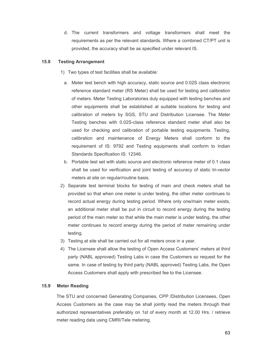d. The current transformers and voltage transformers shall meet the requirements as per the relevant standards. Where a combined CT/PT unit is provided, the accuracy shall be as specified under relevant IS.

### **15.8 Testing Arrangement**

- 1) Two types of test facilities shall be available:
- a. Meter test bench with high accuracy, static source and 0.02S class electronic reference standard meter (RS Meter) shall be used for testing and calibration of meters. Meter Testing Laboratories duly equipped with testing benches and other equipments shall be established at suitable locations for testing and calibration of meters by SGS, STU and Distribution Licensee. The Meter Testing benches with 0.02S-class reference standard meter shall also be used for checking and calibration of portable testing equipments. Testing, calibration and maintenance of Energy Meters shall conform to the requirement of IS: 9792 and Testing equipments shall conform to Indian Standards Specification IS: 12346.
- b. Portable test set with static source and electronic reference meter of 0.1 class shall be used for verification and joint testing of accuracy of static tri-vector meters at site on regular/routine basis.
- 2) Separate test terminal blocks for testing of main and check meters shall be provided so that when one meter is under testing, the other meter continues to record actual energy during testing period. Where only one/main meter exists, an additional meter shall be put in circuit to record energy during the testing period of the main meter so that while the main meter is under testing, the other meter continues to record energy during the period of meter remaining under testing.
- 3) Testing at site shall be carried out for all meters once in a year.
- 4) The Licensee shall allow the testing of Open Access Customers' meters at third party (NABL approved) Testing Labs in case the Customers so request for the same. In case of testing by third party (NABL approved) Testing Labs, the Open Access Customers shall apply with prescribed fee to the Licensee.

### **15.9 Meter Reading**

The STU and concerned Generating Companies, CPP /Distribution Licensees, Open Access Customers as the case may be shall jointly read the meters through their authorized representatives preferably on 1st of every month at 12.00 Hrs. / retrieve meter reading data using CMRI/Tele metering.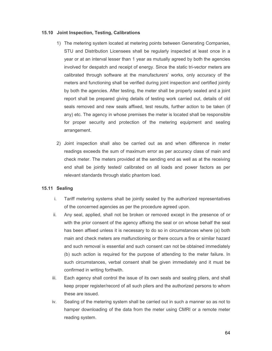#### **15.10 Joint Inspection, Testing, Calibrations**

- 1) The metering system located at metering points between Generating Companies, STU and Distribution Licensees shall be regularly inspected at least once in a year or at an interval lesser than 1 year as mutually agreed by both the agencies involved for despatch and receipt of energy. Since the static tri-vector meters are calibrated through software at the manufacturers' works, only accuracy of the meters and functioning shall be verified during joint inspection and certified jointly by both the agencies. After testing, the meter shall be properly sealed and a joint report shall be prepared giving details of testing work carried out, details of old seals removed and new seals affixed, test results, further action to be taken (if any) etc. The agency in whose premises the meter is located shall be responsible for proper security and protection of the metering equipment and sealing arrangement.
- 2) Joint inspection shall also be carried out as and when difference in meter readings exceeds the sum of maximum error as per accuracy class of main and check meter. The meters provided at the sending end as well as at the receiving end shall be jointly tested/ calibrated on all loads and power factors as per relevant standards through static phantom load.

### **15.11 Sealing**

- i. Tariff metering systems shall be jointly sealed by the authorized representatives of the concerned agencies as per the procedure agreed upon.
- ii. Any seal, applied, shall not be broken or removed except in the presence of or with the prior consent of the agency affixing the seal or on whose behalf the seal has been affixed unless it is necessary to do so in circumstances where (a) both main and check meters are malfunctioning or there occurs a fire or similar hazard and such removal is essential and such consent can not be obtained immediately (b) such action is required for the purpose of attending to the meter failure. In such circumstances, verbal consent shall be given immediately and it must be confirmed in writing forthwith.
- iii. Each agency shall control the issue of its own seals and sealing pliers, and shall keep proper register/record of all such pliers and the authorized persons to whom these are issued.
- iv. Sealing of the metering system shall be carried out in such a manner so as not to hamper downloading of the data from the meter using CMRI or a remote meter reading system.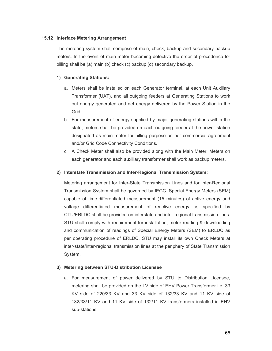# **15.12 Interface Metering Arrangement**

The metering system shall comprise of main, check, backup and secondary backup meters. In the event of main meter becoming defective the order of precedence for billing shall be (a) main (b) check (c) backup (d) secondary backup.

# **1) Generating Stations:**

- a. Meters shall be installed on each Generator terminal, at each Unit Auxiliary Transformer (UAT), and all outgoing feeders at Generating Stations to work out energy generated and net energy delivered by the Power Station in the Grid.
- b. For measurement of energy supplied by major generating stations within the state, meters shall be provided on each outgoing feeder at the power station designated as main meter for billing purpose as per commercial agreement and/or Grid Code Connectivity Conditions.
- c. A Check Meter shall also be provided along with the Main Meter. Meters on each generator and each auxiliary transformer shall work as backup meters.

### **2) Interstate Transmission and Inter-Regional Transmission System:**

Metering arrangement for Inter-State Transmission Lines and for Inter-Regional Transmission System shall be governed by IEGC. Special Energy Meters (SEM) capable of time-differentiated measurement (15 minutes) of active energy and voltage differentiated measurement of reactive energy as specified by CTU/ERLDC shall be provided on interstate and inter-regional transmission lines. STU shall comply with requirement for installation, meter reading & downloading and communication of readings of Special Energy Meters (SEM) to ERLDC as per operating procedure of ERLDC. STU may install its own Check Meters at inter-state/inter-regional transmission lines at the periphery of State Transmission System.

### **3) Metering between STU-Distribution Licensee**

a. For measurement of power delivered by STU to Distribution Licensee, metering shall be provided on the LV side of EHV Power Transformer i.e. 33 KV side of 220/33 KV and 33 KV side of 132/33 KV and 11 KV side of 132/33/11 KV and 11 KV side of 132/11 KV transformers installed in EHV sub-stations.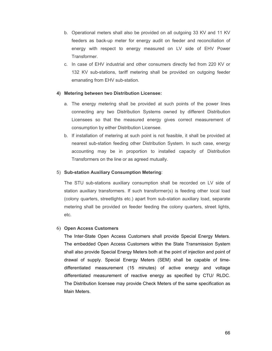- b. Operational meters shall also be provided on all outgoing 33 KV and 11 KV feeders as back-up meter for energy audit on feeder and reconciliation of energy with respect to energy measured on LV side of EHV Power Transformer.
- c. In case of EHV industrial and other consumers directly fed from 220 KV or 132 KV sub-stations, tariff metering shall be provided on outgoing feeder emanating from EHV sub-station.

### **4) Metering between two Distribution Licensee:**

- a. The energy metering shall be provided at such points of the power lines connecting any two Distribution Systems owned by different Distribution Licensees so that the measured energy gives correct measurement of consumption by either Distribution Licensee.
- b. If installation of metering at such point is not feasible, it shall be provided at nearest sub-station feeding other Distribution System. In such case, energy accounting may be in proportion to installed capacity of Distribution Transformers on the line or as agreed mutually.

#### 5) **Sub-station Auxiliary Consumption Metering**:

The STU sub-stations auxiliary consumption shall be recorded on LV side of station auxiliary transformers. If such transformer(s) is feeding other local load (colony quarters, streetlights etc.) apart from sub-station auxiliary load, separate metering shall be provided on feeder feeding the colony quarters, street lights, etc.

#### 6) **Open Access Customers**

The Inter-State Open Access Customers shall provide Special Energy Meters. The embedded Open Access Customers within the State Transmission System shall also provide Special Energy Meters both at the point of injection and point of drawal of supply. Special Energy Meters (SEM) shall be capable of timedifferentiated measurement (15 minutes) of active energy and voltage differentiated measurement of reactive energy as specified by CTU/ RLDC. The Distribution licensee may provide Check Meters of the same specification as Main Meters.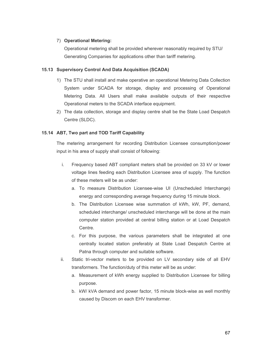### 7) **Operational Metering:**

Operational metering shall be provided wherever reasonably required by STU/ Generating Companies for applications other than tariff metering.

#### **15.13 Supervisory Control And Data Acquisition (SCADA)**

- 1) The STU shall install and make operative an operational Metering Data Collection System under SCADA for storage, display and processing of Operational Metering Data. All Users shall make available outputs of their respective Operational meters to the SCADA interface equipment.
- 2) The data collection, storage and display centre shall be the State Load Despatch Centre (SLDC).

### **15.14 ABT, Two part and TOD Tariff Capability**

The metering arrangement for recording Distribution Licensee consumption/power input in his area of supply shall consist of following:

- i. Frequency based ABT compliant meters shall be provided on 33 kV or lower voltage lines feeding each Distribution Licensee area of supply. The function of these meters will be as under:
	- a. To measure Distribution Licensee-wise UI (Unscheduled Interchange) energy and corresponding average frequency during 15 minute block.
	- b. The Distribution Licensee wise summation of kWh, kW, PF, demand, scheduled interchange/ unscheduled interchange will be done at the main computer station provided at central billing station or at Load Despatch Centre.
	- c. For this purpose, the various parameters shall be integrated at one centrally located station preferably at State Load Despatch Centre at Patna through computer and suitable software.
- ii. Static tri-vector meters to be provided on LV secondary side of all EHV transformers. The function/duty of this meter will be as under:
	- a. Measurement of kWh energy supplied to Distribution Licensee for billing purpose.
	- b. kW/ kVA demand and power factor, 15 minute block-wise as well monthly caused by Discom on each EHV transformer.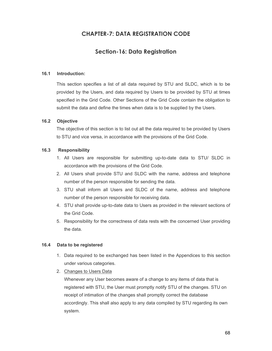# **CHAPTER-7: DATA REGISTRATION CODE**

# **Section-16: Data Registration**

### **16.1 Introduction:**

This section specifies a list of all data required by STU and SLDC, which is to be provided by the Users, and data required by Users to be provided by STU at times specified in the Grid Code. Other Sections of the Grid Code contain the obligation to submit the data and define the times when data is to be supplied by the Users.

### **16.2 Objective**

The objective of this section is to list out all the data required to be provided by Users to STU and vice versa, in accordance with the provisions of the Grid Code.

### **16.3 Responsibility**

- 1. All Users are responsible for submitting up-to-date data to STU/ SLDC in accordance with the provisions of the Grid Code.
- 2. All Users shall provide STU and SLDC with the name, address and telephone number of the person responsible for sending the data.
- 3. STU shall inform all Users and SLDC of the name, address and telephone number of the person responsible for receiving data.
- 4. STU shall provide up-to-date data to Users as provided in the relevant sections of the Grid Code.
- 5. Responsibility for the correctness of data rests with the concerned User providing the data.

#### **16.4 Data to be registered**

- 1. Data required to be exchanged has been listed in the Appendices to this section under various categories.
- 2. Changes to Users Data

Whenever any User becomes aware of a change to any items of data that is registered with STU, the User must promptly notify STU of the changes. STU on receipt of intimation of the changes shall promptly correct the database accordingly. This shall also apply to any data compiled by STU regarding its own system.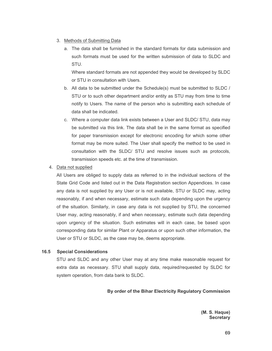### 3. Methods of Submitting Data

a. The data shall be furnished in the standard formats for data submission and such formats must be used for the written submission of data to SLDC and STU.

Where standard formats are not appended they would be developed by SLDC or STU in consultation with Users.

- b. All data to be submitted under the Schedule(s) must be submitted to SLDC / STU or to such other department and/or entity as STU may from time to time notify to Users. The name of the person who is submitting each schedule of data shall be indicated.
- c. Where a computer data link exists between a User and SLDC/ STU, data may be submitted via this link. The data shall be in the same format as specified for paper transmission except for electronic encoding for which some other format may be more suited. The User shall specify the method to be used in consultation with the SLDC/ STU and resolve issues such as protocols, transmission speeds etc. at the time of transmission.
- 4. Data not supplied

All Users are obliged to supply data as referred to in the individual sections of the State Grid Code and listed out in the Data Registration section Appendices. In case any data is not supplied by any User or is not available, STU or SLDC may, acting reasonably, if and when necessary, estimate such data depending upon the urgency of the situation. Similarly, in case any data is not supplied by STU, the concerned User may, acting reasonably, if and when necessary, estimate such data depending upon urgency of the situation. Such estimates will in each case, be based upon corresponding data for similar Plant or Apparatus or upon such other information, the User or STU or SLDC, as the case may be, deems appropriate.

#### **16.5 Special Considerations**

STU and SLDC and any other User may at any time make reasonable request for extra data as necessary. STU shall supply data, required/requested by SLDC for system operation, from data bank to SLDC.

#### **By order of the Bihar Electricity Regulatory Commission**

**(M. S. Haque) Secretary**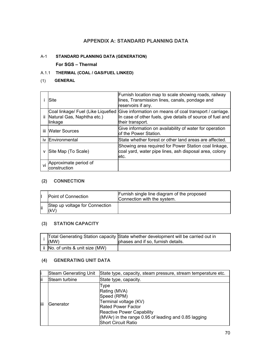# **APPENDIX A: STANDARD PLANNING DATA**

### A-1 **STANDARD PLANNING DATA (GENERATION)**

### **For SGS – Thermal**

### A.1.1 **THERMAL (COAL / GAS/FUEL LINKED)**

### (1) **GENERAL**

|    | <b>Site</b>                                                                 | Furnish location map to scale showing roads, railway<br>lines, Transmission lines, canals, pondage and<br>reservoirs if any.              |
|----|-----------------------------------------------------------------------------|-------------------------------------------------------------------------------------------------------------------------------------------|
|    | Coal linkage/ Fuel (Like Liquefied<br>Natural Gas, Naphtha etc.)<br>linkage | Give information on means of coal transport / carriage.<br>In case of other fuels, give details of source of fuel and<br>their transport. |
|    | iii Water Sources                                                           | Give information on availability of water for operation<br>lof the Power Station.                                                         |
|    | iv Environmental                                                            | State whether forest or other land areas are affected.                                                                                    |
|    | Site Map (To Scale)                                                         | Showing area required for Power Station coal linkage,<br>coal yard, water pipe lines, ash disposal area, colony<br>letc.                  |
| vi | Approximate period of<br>construction                                       |                                                                                                                                           |

### **(2) CONNECTION**

|     | Point of Connection                   | Furnish single line diagram of the proposed<br>Connection with the system. |
|-----|---------------------------------------|----------------------------------------------------------------------------|
| lii | Step up voltage for Connection<br>(kV |                                                                            |

# **(3) STATION CAPACITY**

| (MW)                             | Total Generating Station capacity State whether development will be carried out in<br>phases and if so, furnish details. |
|----------------------------------|--------------------------------------------------------------------------------------------------------------------------|
| ii No. of units & unit size (MW) |                                                                                                                          |

#### **(4) GENERATING UNIT DATA**

| li   | <b>Steam Generating Unit</b> | State type, capacity, steam pressure, stream temperature etc.                                                                                                                                                  |  |
|------|------------------------------|----------------------------------------------------------------------------------------------------------------------------------------------------------------------------------------------------------------|--|
| lii  | Steam turbine                | State type, capacity.                                                                                                                                                                                          |  |
| liii | Generator                    | Type<br>Rating (MVA)<br>Speed (RPM)<br>Terminal voltage (KV)<br><b>Rated Power Factor</b><br>Reactive Power Capability<br>$(MVAr)$ in the range 0.95 of leading and 0.85 lagging<br><b>Short Circuit Ratio</b> |  |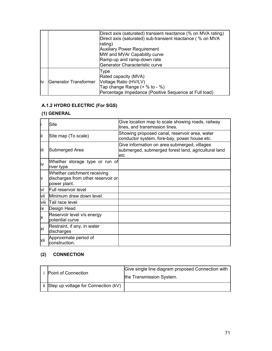|     |                       | Direct axis (saturated) transient reactance (% on MVA rating)<br>Direct axis (saturated) sub-transient reactance (% on MVA<br>rating)<br><b>Auxiliary Power Requirement</b><br>MW and MVAr Capability curve<br>Ramp-up and ramp-down rate<br>Generator Characteristic curve |
|-----|-----------------------|-----------------------------------------------------------------------------------------------------------------------------------------------------------------------------------------------------------------------------------------------------------------------------|
| liv | Generator Transformer | Type<br>Rated capacity (MVA)<br>Voltage Ratio (HV/LV)<br>Tap change Range $(+ % to - %)$<br>Percentage Impedance (Positive Sequence at Full load)                                                                                                                           |

# **A.1.2 HYDRO ELECTRIC (For SGS)**

# **(1) GENERAL**

|          | Site                                                                              | Give location map to scale showing roads, railway<br>lines, and transmission lines.                         |
|----------|-----------------------------------------------------------------------------------|-------------------------------------------------------------------------------------------------------------|
| lii      | Site map (To scale)                                                               | Showing proposed canal, reservoir area, water<br>conductor system, fore-bay, power house etc.               |
| liii     | Submerged Area                                                                    | Give information on area submerged, villages<br>submerged, submerged forest land, agricultural land<br>letc |
| İv       | Whether storage type or run of<br>river type                                      |                                                                                                             |
| <b>V</b> | Whether catchment receiving<br>discharges from other reservoir or<br>power plant. |                                                                                                             |
| vi       | Full reservoir level                                                              |                                                                                                             |
| vii      | Minimum draw down level.                                                          |                                                                                                             |
| viii     | Tail race level                                                                   |                                                                                                             |
| İX       | Design Head                                                                       |                                                                                                             |
| X        | Reservoir level v/s energy<br>potential curve                                     |                                                                                                             |
| xi       | Restraint, if any, in water<br>discharges                                         |                                                                                                             |
| xii      | Approximate period of<br>construction.                                            |                                                                                                             |

# **(2) CONNECTION**

| Point of Connection                 | Give single line diagram proposed Connection with<br>the Transmission System. |
|-------------------------------------|-------------------------------------------------------------------------------|
| Step up voltage for Connection (kV) |                                                                               |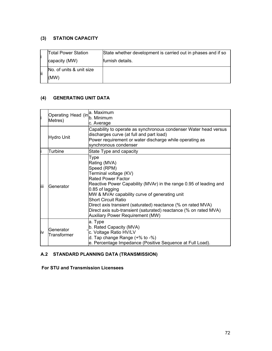## **(3) STATION CAPACITY**

| li  | Total Power Station      | State whether development is carried out in phases and if so |
|-----|--------------------------|--------------------------------------------------------------|
|     | capacity (MW)            | furnish details.                                             |
| lii | No. of units & unit size |                                                              |
|     | (MW)                     |                                                              |

# **(4) GENERATING UNIT DATA**

| li         | Operating Head (in <sup>u mean</sup><br>Metres) | a. Maximum<br>c. Average                                                                                                                                                                                                                                                                                                                                                                                                                  |
|------------|-------------------------------------------------|-------------------------------------------------------------------------------------------------------------------------------------------------------------------------------------------------------------------------------------------------------------------------------------------------------------------------------------------------------------------------------------------------------------------------------------------|
| Hydro Unit |                                                 | Capability to operate as synchronous condenser Water head versus<br>discharges curve (at full and part load)<br>Power requirement or water discharge while operating as<br>synchronous condenser                                                                                                                                                                                                                                          |
|            | Turbine                                         | State Type and capacity                                                                                                                                                                                                                                                                                                                                                                                                                   |
| lii        | Generator                                       | Type<br>Rating (MVA)<br>Speed (RPM)<br>Terminal voltage (KV)<br>lRated Power Factor<br>Reactive Power Capability (MVAr) in the range 0.95 of leading and<br>0.85 of lagging<br>MW & MVAr capability curve of generating unit<br><b>Short Circuit Ratio</b><br>Direct axis transient (saturated) reactance (% on rated MVA)<br>Direct axis sub-transient (saturated) reactance (% on rated MVA)<br><b>Auxiliary Power Requirement (MW)</b> |
| liν        | Generator<br>Transformer                        | a. Type<br>b. Rated Capacity (MVA)<br>c. Voltage Ratio HV/LV<br>d. Tap change Range $(+\%$ to $-\%)$<br>e. Percentage Impedance (Positive Sequence at Full Load).                                                                                                                                                                                                                                                                         |

# **A.2 STANDARD PLANNING DATA (TRANSMISSION)**

## **For STU and Transmission Licensees**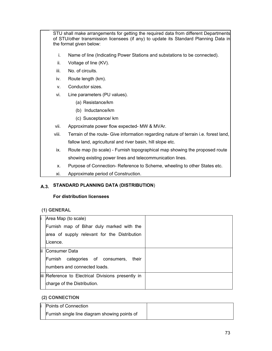STU shall make arrangements for getting the required data from different Departments of STU/other transmission licensees (if any) to update its Standard Planning Data in the format given below:

- i. Name of line (Indicating Power Stations and substations to be connected).
- ii. Voltage of line (KV).
- iii. No. of circuits.
- iv. Route length (km).
- v. Conductor sizes.
- vi. Line parameters (PU values).
	- (a) Resistance/km
	- (b) Inductance/km
	- (c) Susceptance/ km
- vii. Approximate power flow expected- MW & MVAr.
- viii. Terrain of the route- Give information regarding nature of terrain i.e. forest land, fallow land, agricultural and river basin, hill slope etc.
- ix. Route map (to scale) Furnish topographical map showing the proposed route showing existing power lines and telecommunication lines.
- x. Purpose of Connection- Reference to Scheme, wheeling to other States etc.
- xi. Approximate period of Construction.

# **A.3. STANDARD PLANNING DATA (DISTRIBUTION**)

## **For distribution licensees**

## **(1) GENERAL**

| li    | Area Map (to scale)                                |  |
|-------|----------------------------------------------------|--|
|       | Furnish map of Bihar duly marked with the          |  |
|       | area of supply relevant for the Distribution       |  |
|       | ILicence.                                          |  |
| lii - | Consumer Data                                      |  |
|       | Furnish categories of consumers,<br>their          |  |
|       | Inumbers and connected loads.                      |  |
|       | iii Reference to Electrical Divisions presently in |  |
|       | charge of the Distribution.                        |  |

## **(2) CONNECTION**

| Points of Connection                          |  |
|-----------------------------------------------|--|
| Furnish single line diagram showing points of |  |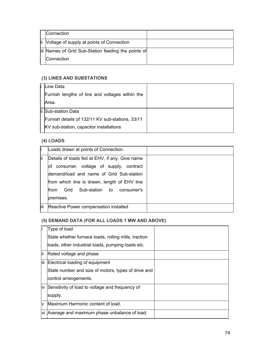| Connection                                          |  |
|-----------------------------------------------------|--|
| ii Voltage of supply at points of Connection        |  |
| iii Names of Grid Sub-Station feeding the points of |  |
| Connection                                          |  |

# **(3) LINES AND SUBSTATIONS**

| Line Data                                        |  |
|--------------------------------------------------|--|
| Furnish lengths of line and voltages within the  |  |
| Area.                                            |  |
| ii Sub-station Data                              |  |
| Furnish details of 132/11 KV sub-stations, 33/11 |  |
| KV sub-station, capacitor installations          |  |

# **(4) LOADS**

|      | Loads drawn at points of Connection.             |  |
|------|--------------------------------------------------|--|
| ļίi  | Details of loads fed at EHV, if any. Give name   |  |
|      | of consumer, voltage of supply, contract         |  |
|      | Idemand/load and name of Grid Sub-station        |  |
|      | from which line is drawn, length of EHV line     |  |
|      | Sub-station to consumer's<br>Grid<br><b>from</b> |  |
|      | premises.                                        |  |
| liii | Reactive Power compensation installed            |  |

# **(5) DEMAND DATA (FOR ALL LOADS 1 MW AND ABOVE)**

|       | Type of load                                         |  |
|-------|------------------------------------------------------|--|
|       | State whether furnace loads, rolling mills, traction |  |
|       | loads, other industrial loads, pumping loads etc.    |  |
| ļΪ    | Rated voltage and phase                              |  |
| liii. | Electrical loading of equipment                      |  |
|       | State number and size of motors, types of drive and  |  |
|       | control arrangements.                                |  |
| liv   | Sensitivity of load to voltage and frequency of      |  |
|       | supply.                                              |  |
| v     | Maximum Harmonic content of load.                    |  |
| vi    | Average and maximum phase unbalance of load.         |  |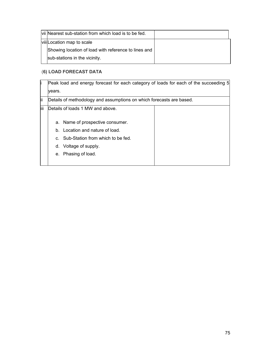| vii Nearest sub-station from which load is to be fed. |  |
|-------------------------------------------------------|--|
| viiiLocation map to scale                             |  |
| Showing location of load with reference to lines and  |  |
| sub-stations in the vicinity.                         |  |

# (**6) LOAD FORECAST DATA**

|      | Peak load and energy forecast for each category of loads for each of the succeeding 5 |                                   |  |
|------|---------------------------------------------------------------------------------------|-----------------------------------|--|
|      | vears.                                                                                |                                   |  |
| lii  | Details of methodology and assumptions on which forecasts are based.                  |                                   |  |
| liii | Details of loads 1 MW and above.                                                      |                                   |  |
|      |                                                                                       |                                   |  |
|      |                                                                                       | a. Name of prospective consumer.  |  |
|      | b.                                                                                    | Location and nature of load.      |  |
|      | $C_{\cdot}$                                                                           | Sub-Station from which to be fed. |  |
|      | d.                                                                                    | Voltage of supply.                |  |
|      | е.                                                                                    | Phasing of load.                  |  |
|      |                                                                                       |                                   |  |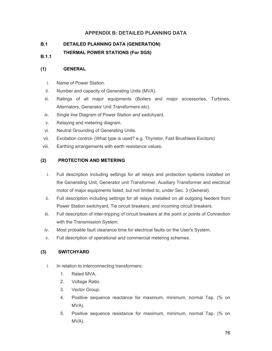# **APPENDIX B: DETAILED PLANNING DATA**

## **B.1 DETAILED PLANNING DATA (GENERATION)**

**B.1.1 THERMAL POWER STATIONS (For SGS)** 

## **(1) GENERAL**

- i. Name of Power Station.
- ii. Number and capacity of Generating Units (MVA).
- iii. Ratings of all major equipments (Boilers and major accessories, Turbines, Alternators, Generator Unit Transformers etc).
- iv. Single line Diagram of Power Station and switchyard.
- v. Relaying and metering diagram.
- vi. Neutral Grounding of Generating Units.
- vii. Excitation control- (What type is used? e.g. Thyristor, Fast Brushless Excitors)
- viii. Earthing arrangements with earth resistance values.

## **(2) PROTECTION AND METERING**

- i. Full description including settings for all relays and protection systems installed on the Generating Unit, Generator unit Transformer, Auxiliary Transformer and electrical motor of major equipments listed, but not limited to, under Sec. 3 (General).
- ii. Full description including settings for all relays installed on all outgoing feeders from Power Station switchyard, Tie circuit breakers, and incoming circuit breakers.
- iii. Full description of inter-tripping of circuit breakers at the point or points of Connection with the Transmission System.
- iv. Most probable fault clearance time for electrical faults on the User's System.
- v. Full description of operational and commercial metering schemes.

## **(3) SWITCHYARD**

- i. In relation to interconnecting transformers:
	- 1. Rated MVA.
	- 2. Voltage Ratio.
	- 3. Vector Group.
	- 4. Positive sequence reactance for maximum, minimum, normal Tap. (% on MVA).
	- 5. Positive sequence resistance for maximum, minimum, normal Tap. (% on MVA).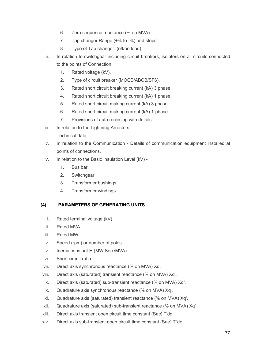- 6. Zero sequence reactance (% on MVA).
- 7. Tap changer Range (+% to -%) and steps.
- 8. Type of Tap changer. (off/on load).
- ii. In relation to switchgear including circuit breakers, isolators on all circuits connected to the points of Connection:
	- 1. Rated voltage (kV).
	- 2. Type of circuit breaker (MOCB/ABCB/SF6).
	- 3. Rated short circuit breaking current (kA) 3 phase.
	- 4. Rated short circuit breaking current (kA) 1 phase.
	- 5. Rated short circuit making current (kA) 3 phase.
	- 6. Rated short circuit making current (kA) 1-phase.
	- 7. Provisions of auto reclosing with details.
- iii. In relation to the Lightning Arresters -

## Technical data

- iv. In relation to the Communication Details of communication equipment installed at points of connections.
- v. In relation to the Basic Insulation Level (kV)
	- 1. Bus bar.
	- 2. Switchgear.
	- 3. Transformer bushings.
	- 4. Transformer windings.

# **(4) PARAMETERS OF GENERATING UNITS**

- i. Rated terminal voltage (kV).
- ii. Rated MVA.
- iii. Rated MW.
- iv. Speed (rpm) or number of poles.
- v. Inertia constant H (MW Sec./MVA).
- vi. Short circuit ratio.
- vii. Direct axis synchronous reactance (% on MVA) Xd.
- viii. Direct axis (saturated) transient reactance (% on MVA) Xd'.
- ix. Direct axis (saturated) sub-transient reactance (% on MVA) Xd".
- x. Quadrature axis synchronous reactance (% on MVA) Xq .
- xi. Quadrature axis (saturated) transient reactance (% on MVA) Xq'.
- xii. Quadrature axis (saturated) sub-transient reactance (% on MVA) Xq".
- xiii. Direct axis transient open circuit time constant (Sec) T'do.
- xiv. Direct axis sub-transient open circuit time constant (See) T"do.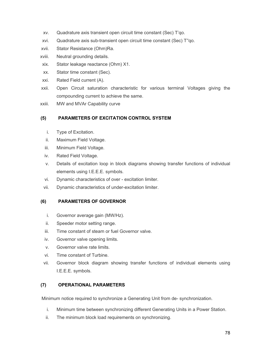- xv. Quadrature axis transient open circuit time constant (Sec) T'qo.
- xvi. Quadrature axis sub-transient open circuit time constant (Sec) T''qo.
- xvii. Stator Resistance (Ohm)Ra.
- xviii. Neutral grounding details.
- xix. Stator leakage reactance (Ohm) X1.
- xx. Stator time constant (Sec).
- xxi. Rated Field current (A).
- xxii. Open Circuit saturation characteristic for various terminal Voltages giving the compounding current to achieve the same.
- xxiii. MW and MVAr Capability curve

## **(5) PARAMETERS OF EXCITATION CONTROL SYSTEM**

- i. Type of Excitation.
- ii. Maximum Field Voltage.
- iii. Minimum Field Voltage.
- iv. Rated Field Voltage.
- v. Details of excitation loop in block diagrams showing transfer functions of individual elements using I.E.E.E. symbols.
- vi. Dynamic characteristics of over excitation limiter.
- vii. Dynamic characteristics of under-excitation limiter.

# **(6) PARAMETERS OF GOVERNOR**

- i. Governor average gain (MW/Hz).
- ii. Speeder motor setting range.
- iii. Time constant of steam or fuel Governor valve.
- iv. Governor valve opening limits.
- v. Governor valve rate limits.
- vi. Time constant of Turbine.
- vii. Governor block diagram showing transfer functions of individual elements using I.E.E.E. symbols.

## **(7) OPERATIONAL PARAMETERS**

Minimum notice required to synchronize a Generating Unit from de- synchronization.

- i. Minimum time between synchronizing different Generating Units in a Power Station.
- ii. The minimum block load requirements on synchronizing.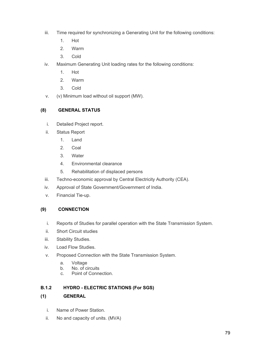- iii. Time required for synchronizing a Generating Unit for the following conditions:
	- 1. Hot
	- 2. Warm
	- 3. Cold
- iv. Maximum Generating Unit loading rates for the following conditions:
	- 1. Hot
	- 2. Warm
	- 3. Cold
- v. (v) Minimum load without oil support (MW).

# **(8) GENERAL STATUS**

- i. Detailed Project report.
- ii. Status Report
	- 1. Land
	- 2. Coal
	- 3. Water
	- 4. Environmental clearance
	- 5. Rehabilitation of displaced persons
- iii. Techno-economic approval by Central Electricity Authority (CEA).
- iv. Approval of State Government/Government of India.
- v. Financial Tie-up.

# **(9) CONNECTION**

- i. Reports of Studies for parallel operation with the State Transmission System.
- ii. Short Circuit studies
- iii. Stability Studies.
- iv. Load Flow Studies.
- v. Proposed Connection with the State Transmission System.
	- a. Voltage
	- b. No. of circuits
	- c. Point of Connection.

# **B.1.2 HYDRO - ELECTRIC STATIONS (For SGS)**

# **(1) GENERAL**

- i. Name of Power Station.
- ii. No and capacity of units. (MVA)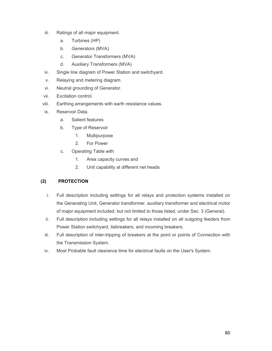- iii. Ratings of all major equipment.
	- a. Turbines (HP)
	- b. Generators (MVA)
	- c. Generator Transformers (MVA)
	- d. Auxiliary Transformers (MVA)
- iv. Single line diagram of Power Station and switchyard.
- v. Relaying and metering diagram.
- vi. Neutral grounding of Generator.
- vii. Excitation control.
- viii. Earthing arrangements with earth resistance values.
- ix. Reservoir Data.
	- a. Salient features
	- b. Type of Reservoir
		- 1. Multipurpose
		- 2. For Power
	- c. Operating Table with
		- 1. Area capacity curves and
		- 2. Unit capability at different net heads

# **(2) PROTECTION**

- i. Full description including settings for all relays and protection systems installed on the Generating Unit, Generator transformer, auxiliary transformer and electrical motor of major equipment included, but not limited to those listed, under Sec. 3 (General).
- ii. Full description including settings for all relays installed on all outgoing feeders from Power Station switchyard, tiebreakers, and incoming breakers.
- iii. Full description of inter-tripping of breakers at the point or points of Connection with the Transmission System.
- iv. Most Probable fault clearance time for electrical faults on the User's System.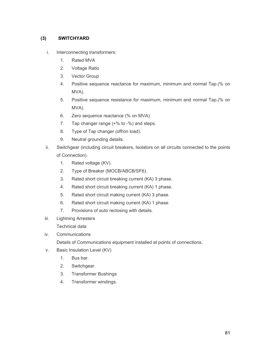## **(3) SWITCHYARD**

- i. Interconnecting transformers:
	- 1. Rated MVA
	- 2. Voltage Ratio
	- 3. Vector Group
	- 4. Positive sequence reactance for maximum, minimum and normal Tap.(% on MVA).
	- 5. Positive sequence resistance for maximum, minimum and normal Tap.(% on MVA).
	- 6. Zero sequence reactance (% on MVA)
	- 7. Tap changer range ( $+$ % to  $-$ %) and steps.
	- 8. Type of Tap changer (off/on load).
	- 9. Neutral grounding details.
- ii. Switchgear (including circuit breakers, Isolators on all circuits connected to the points of Connection).
	- 1. Rated voltage (KV).
	- 2. Type of Breaker (MOCB/ABCB/SF6).
	- 3. Rated short circuit breaking current (KA) 3 phase.
	- 4. Rated short circuit breaking current (KA) 1 phase.
	- 5. Rated short circuit making current (KA) 3 phase.
	- 6. Rated short circuit making current (KA) 1 phase.
	- 7. Provisions of auto reclosing with details.
- iii. Lightning Arresters

Technical data

iv. Communications

Details of Communications equipment installed at points of connections.

- v. Basic Insulation Level (KV)
	- 1. Bus bar.
	- 2. Switchgear.
	- 3. Transformer Bushings
	- 4. Transformer windings.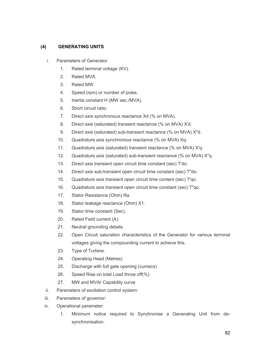## **(4) GENERATING UNITS**

- i. Parameters of Generator
	- 1. Rated terminal voltage (KV).
	- 2. Rated MVA.
	- 3. Rated MW
	- 4. Speed (rpm) or number of poles.
	- 5. Inertia constant H (MW sec./MVA).
	- 6. Short circuit ratio.
	- 7. Direct axis synchronous reactance Xd (% on MVA).
	- 8. Direct axis (saturated) transient reactance (% on MVA) X'd.
	- 9. Direct axis (saturated) sub-transient reactance (% on MVA) X"d.
	- 10. Quadrature axis synchronous reactance (% on MVA) Xq.
	- 11. Quadrature axis (saturated) transient reactance (% on MVA) X'q.
	- 12. Quadrature axis (saturated) sub-transient reactance (% on MVA) X"q.
	- 13. Direct axis transient open circuit time constant (sec) T'do.
	- 14. Direct axis sub-transient open circuit time constant (sec) T"do.
	- 15. Quadrature axis transient open circuit time content (sec) T'qo.
	- 16. Quadrature axis transient open circuit time constant (sec) T"qo.
	- 17. Stator Resistance (Ohm) Ra.
	- 18. Stator leakage reactance (Ohm) X1.
	- 19. Stator time constant (Sec).
	- 20. Rated Field current (A).
	- 21. Neutral grounding details.
	- 22. Open Circuit saturation characteristics of the Generator for various terminal voltages giving the compounding current to achieve this.
	- 23. Type of Turbine.
	- 24. Operating Head (Metres)
	- 25. Discharge with full gate opening (cumecs)
	- 26. Speed Rise on total Load throw off(%).
	- 27. MW and MVAr Capability curve
- ii. Parameters of excitation control system:
- iii. Parameters of governor:
- iv. Operational parameter:
	- 1. Minimum notice required to Synchronise a Generating Unit from desynchronisation.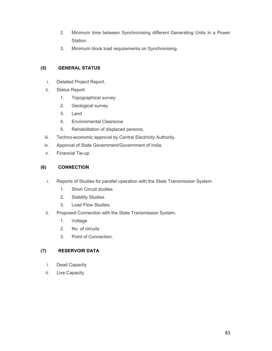- 2. Minimum time between Synchronising different Generating Units in a Power Station.
- 3. Minimum block load requirements on Synchronising.

## **(5) GENERAL STATUS**

- i. Detailed Project Report.
- ii. Status Report.
	- 1. Topographical survey
	- 2. Geological survey
	- 3. Land
	- 4. Environmental Clearance
	- 5. Rehabilitation of displaced persons.
- iii. Techno-economic approval by Central Electricity Authority.
- iv. Approval of State Government/Government of India.
- v. Financial Tie-up.

## **(6) CONNECTION**

- i. Reports of Studies for parallel operation with the State Transmission System.
	- 1. Short Circuit studies
	- 2. Stability Studies.
	- 3. Load Flow Studies.
- ii. Proposed Connection with the State Transmission System.
	- 1. Voltage
	- 2. No. of circuits
	- 3. Point of Connection.

## **(7) RESERVOIR DATA**

- i. Dead Capacity
- ii. Live Capacity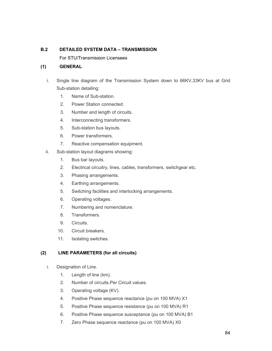## **B.2 DETAILED SYSTEM DATA – TRANSMISSION**

For STU/Transmission Licensees

### **(1) GENERAL**

- i. Single line diagram of the Transmission System down to 66KV,33KV bus at Grid Sub-station detailing:
	- 1. Name of Sub-station.
	- 2. Power Station connected.
	- 3. Number and length of circuits.
	- 4. Interconnecting transformers.
	- 5. Sub-station bus layouts.
	- 6. Power transformers.
	- 7. Reactive compensation equipment.
- ii. Sub-station layout diagrams showing:
	- 1. Bus bar layouts.
	- 2. Electrical circuitry, lines, cables, transformers, switchgear etc.
	- 3. Phasing arrangements.
	- 4. Earthing arrangements.
	- 5. Switching facilities and interlocking arrangements.
	- 6. Operating voltages.
	- 7. Numbering and nomenclature:
	- 8. Transformers.
	- 9. Circuits.
	- 10. Circuit breakers.
	- 11. Isolating switches.

#### **(2) LINE PARAMETERS (for all circuits)**

- i. Designation of Line.
	- 1. Length of line (km).
	- 2. Number of circuits.Per Circuit values.
	- 3. Operating voltage (KV).
	- 4. Positive Phase sequence reactance (pu on 100 MVA) X1
	- 5. Positive Phase sequence resistance (pu on 100 MVA) R1
	- 6. Positive Phase sequence susceptance (pu on 100 MVA) B1
	- 7. Zero Phase sequence reactance (pu on 100 MVA) X0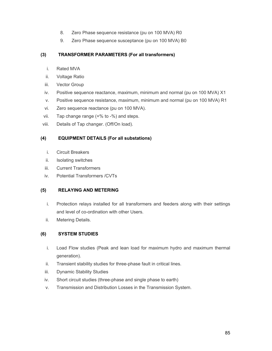- 8. Zero Phase sequence resistance (pu on 100 MVA) R0
- 9. Zero Phase sequence susceptance (pu on 100 MVA) B0

## **(3) TRANSFORMER PARAMETERS (For all transformers)**

- i. Rated MVA
- ii. Voltage Ratio
- iii. Vector Group
- iv. Positive sequence reactance, maximum, minimum and normal (pu on 100 MVA) X1
- v. Positive sequence resistance, maximum, minimum and normal (pu on 100 MVA) R1
- vi. Zero sequence reactance (pu on 100 MVA).
- vii. Tap change range (+% to -%) and steps.
- viii. Details of Tap changer. (Off/On load).

## **(4) EQUIPMENT DETAILS (For all substations)**

- i. Circuit Breakers
- ii. Isolating switches
- iii. Current Transformers
- iv. Potential Transformers /CVTs

## **(5) RELAYING AND METERING**

- i. Protection relays installed for all transformers and feeders along with their settings and level of co-ordination with other Users.
- ii. Metering Details.

# **(6) SYSTEM STUDIES**

- i. Load Flow studies (Peak and lean load for maximum hydro and maximum thermal generation).
- ii. Transient stability studies for three-phase fault in critical lines.
- iii. Dynamic Stability Studies
- iv. Short circuit studies (three-phase and single phase to earth)
- v. Transmission and Distribution Losses in the Transmission System.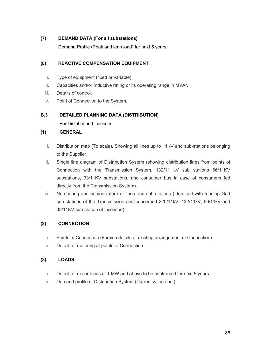### **(7) DEMAND DATA (For all substations)**

Demand Profile (Peak and lean load) for next 5 years.

## **(8) REACTIVE COMPENSATION EQUIPMENT**

- i. Type of equipment (fixed or variable).
- ii. Capacities and/or Inductive rating or its operating range in MVAr.
- iii. Details of control.
- iv. Point of Connection to the System.

### **B.3 DETAILED PLANNING DATA (DISTRIBUTION)**

For Distribution Licensees

### **(1) GENERAL**

- i. Distribution map (To scale). Showing all lines up to 11KV and sub-stations belonging to the Supplier.
- ii. Single line diagram of Distribution System (showing distribution lines from points of Connection with the Transmission System, 132/11 kV sub stations 66/11KV substations, 33/11KV substations, and consumer bus in case of consumers fed directly from the Transmission System).
- iii. Numbering and nomenclature of lines and sub-stations (Identified with feeding Grid sub-stations of the Transmission and concerned 220/11kV, 132/11kV, 66/11kV and 33/11KV sub-station of Licensee).

## **(2) CONNECTION**

- i. Points of Connection (Furnish details of existing arrangement of Connection).
- ii. Details of metering at points of Connection.

## **(3) LOADS**

- i. Details of major loads of 1 MW and above to be contracted for next 5 years.
- ii. Demand profile of Distribution System (Current & forecast)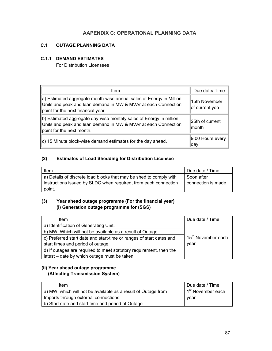# **AAPENDIX C: OPERATIONAL PLANNING DATA**

## **C.1 OUTAGE PLANNING DATA**

### **C.1.1 DEMAND ESTIMATES**

For Distribution Licensees

| Item                                                                                                                                                                        | Due date/Time                   |
|-----------------------------------------------------------------------------------------------------------------------------------------------------------------------------|---------------------------------|
| a) Estimated aggregate month-wise annual sales of Energy in Million<br>Units and peak and lean demand in MW & MVAr at each Connection<br>point for the next financial year. | 15th November<br>of current yea |
| b) Estimated aggregate day-wise monthly sales of Energy in million<br>Units and peak and lean demand in MW & MVAr at each Connection<br>point for the next month.           | 25th of current<br>month        |
| $\vert$ c) 15 Minute block-wise demand estimates for the day ahead.                                                                                                         | 9.00 Hours every<br>day.        |

## **(2) Estimates of Load Shedding for Distribution Licensee**

| Item                                                               | Due date / Time     |
|--------------------------------------------------------------------|---------------------|
| a) Details of discrete load blocks that may be shed to comply with | Soon after          |
| instructions issued by SLDC when required, from each connection    | connection is made. |
| point.                                                             |                     |

# **(3) Year ahead outage programme (For the financial year) (i) Generation outage programme for (SGS)**

| Item                                                                | Due date / Time                |
|---------------------------------------------------------------------|--------------------------------|
| a) Identification of Generating Unit.                               |                                |
| b) MW, Which will not be available as a result of Outage.           |                                |
| c) Preferred start date and start-time or ranges of start dates and | 15 <sup>th</sup> November each |
| start times and period of outage.                                   | year                           |
| d) If outages are required to meet statutory requirement, then the  |                                |
| latest – date by which outage must be taken.                        |                                |

## **(ii) Year ahead outage programme (Affecting Transmission System)**

| ltem                                                          | Due date / Time               |
|---------------------------------------------------------------|-------------------------------|
| a) MW, which will not be available as a result of Outage from | 1 <sup>st</sup> November each |
| Imports through external connections.                         | vear                          |
| b) Start date and start time and period of Outage.            |                               |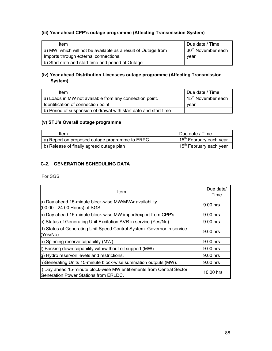# **(iii) Year ahead CPP's outage programme (Affecting Transmission System)**

| ltem                                                          | Due date / Time                |
|---------------------------------------------------------------|--------------------------------|
| a) MW, which will not be available as a result of Outage from | 30 <sup>th</sup> November each |
| Imports through external connections.                         | vear                           |
| b) Start date and start time and period of Outage.            |                                |

# **(iv) Year ahead Distribution Licensees outage programme (Affecting Transmission System)**

| Item                                                              | Due date / Time                |
|-------------------------------------------------------------------|--------------------------------|
| a) Loads in MW not available from any connection point.           | 15 <sup>th</sup> November each |
| Identification of connection point.                               | vear                           |
| b) Period of suspension of drawal with start date and start time. |                                |

# **(v) STU's Overall outage programme**

| ltem                                           | Due date / Time                                  |
|------------------------------------------------|--------------------------------------------------|
| a) Report on proposed outage programme to ERPC | <sub>1</sub> 15 <sup>th</sup> February each year |
| b) Release of finally agreed outage plan       | $15th$ February each year                        |

# **C-2. GENERATION SCHEDULING DATA**

For SGS

| Item                                                                                                           |            |  |
|----------------------------------------------------------------------------------------------------------------|------------|--|
| a) Day ahead 15-minute block-wise MW/MVAr availability<br>$(00.00 - 24.00$ Hours) of SGS.                      | 9.00 hrs   |  |
| b) Day ahead 15-minute block-wise MW import/export from CPP's.                                                 | $9.00$ hrs |  |
| c) Status of Generating Unit Excitation AVR in service (Yes/No).                                               | 9.00 hrs   |  |
| d) Status of Generating Unit Speed Control System. Governor in service<br>(Yes/No).                            | $9.00$ hrs |  |
| e) Spinning reserve capability (MW).                                                                           | $9.00$ hrs |  |
| f) Backing down capability with/without oil support (MW).                                                      | $9.00$ hrs |  |
| g) Hydro reservoir levels and restrictions.                                                                    | 9.00 hrs   |  |
| h) Generating Units 15-minute block-wise summation outputs (MW).                                               | 9.00 hrs   |  |
| i) Day ahead 15-minute block-wise MW entitlements from Central Sector<br>Generation Power Stations from ERLDC. | 10.00 hrs  |  |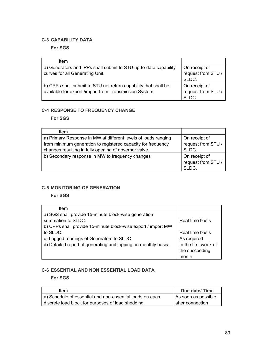## **C-3 CAPABILITY DATA**

**For SGS**

| ltem                                                             |                    |
|------------------------------------------------------------------|--------------------|
| a) Generators and IPPs shall submit to STU up-to-date capability | On receipt of      |
| curves for all Generating Unit.                                  | request from STU / |
|                                                                  | SLDC.              |
| b) CPPs shall submit to STU net return capability that shall be  | On receipt of      |
| available for export /import from Transmission System            | request from STU / |
|                                                                  | SLDC.              |

### **C-4 RESPONSE TO FREQUENCY CHANGE**

**For SGS**

| Item                                                           |                    |
|----------------------------------------------------------------|--------------------|
| a) Primary Response in MW at different levels of loads ranging | On receipt of      |
| from minimum generation to registered capacity for frequency   | request from STU / |
| changes resulting in fully opening of governor valve.          | SLDC.              |
| b) Secondary response in MW to frequency changes               | On receipt of      |
|                                                                | request from STU / |
|                                                                | SLDC.              |

## **C-5 MONITORING OF GENERATION**

**For SGS**

| Item                                                             |                      |
|------------------------------------------------------------------|----------------------|
| a) SGS shall provide 15-minute block-wise generation             |                      |
| summation to SLDC.                                               | Real time basis      |
| b) CPPs shall provide 15-minute block-wise export / import MW    |                      |
| to SLDC.                                                         | Real time basis      |
| c) Logged readings of Generators to SLDC.                        | As required          |
| d) Detailed report of generating unit tripping on monthly basis. | In the first week of |
|                                                                  | the succeeding       |
|                                                                  | month                |

## **C-6 ESSENTIAL AND NON ESSENTIAL LOAD DATA**

**For SGS**

| Item                                                     | Due date/Time       |
|----------------------------------------------------------|---------------------|
| a) Schedule of essential and non-essential loads on each | As soon as possible |
| discrete load block for purposes of load shedding.       | after connection    |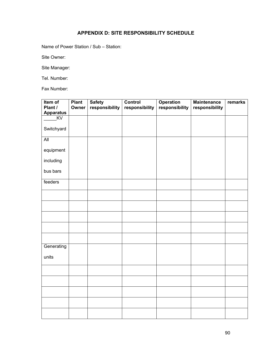# **APPENDIX D: SITE RESPONSIBILITY SCHEDULE**

Name of Power Station / Sub – Station:

Site Owner:

Site Manager:

Tel. Number:

Fax Number:

| Item of<br>Plant / | <b>Plant</b><br>Owner | <b>Safety</b><br>responsibility | Control<br>responsibility | <b>Operation</b><br>responsibility | <b>Maintenance</b><br>responsibility | remarks |
|--------------------|-----------------------|---------------------------------|---------------------------|------------------------------------|--------------------------------------|---------|
| <b>Apparatus</b>   |                       |                                 |                           |                                    |                                      |         |
| KV                 |                       |                                 |                           |                                    |                                      |         |
|                    |                       |                                 |                           |                                    |                                      |         |
| Switchyard         |                       |                                 |                           |                                    |                                      |         |
| All                |                       |                                 |                           |                                    |                                      |         |
| equipment          |                       |                                 |                           |                                    |                                      |         |
| including          |                       |                                 |                           |                                    |                                      |         |
| bus bars           |                       |                                 |                           |                                    |                                      |         |
| feeders            |                       |                                 |                           |                                    |                                      |         |
|                    |                       |                                 |                           |                                    |                                      |         |
|                    |                       |                                 |                           |                                    |                                      |         |
|                    |                       |                                 |                           |                                    |                                      |         |
|                    |                       |                                 |                           |                                    |                                      |         |
|                    |                       |                                 |                           |                                    |                                      |         |
| Generating         |                       |                                 |                           |                                    |                                      |         |
| units              |                       |                                 |                           |                                    |                                      |         |
|                    |                       |                                 |                           |                                    |                                      |         |
|                    |                       |                                 |                           |                                    |                                      |         |
|                    |                       |                                 |                           |                                    |                                      |         |
|                    |                       |                                 |                           |                                    |                                      |         |
|                    |                       |                                 |                           |                                    |                                      |         |